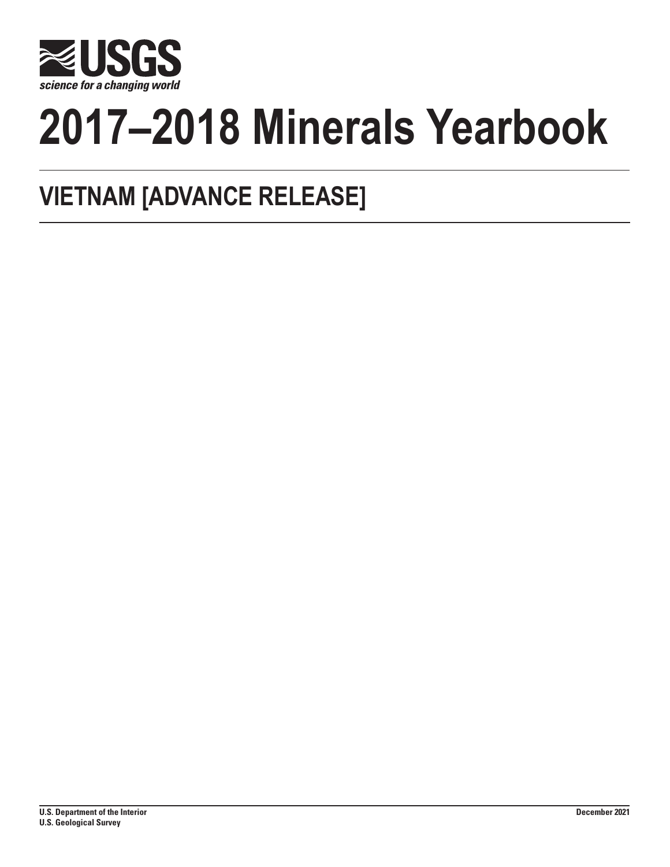

# **2017–2018 Minerals Yearbook**

# **VIETNAM [ADVANCE RELEASE]**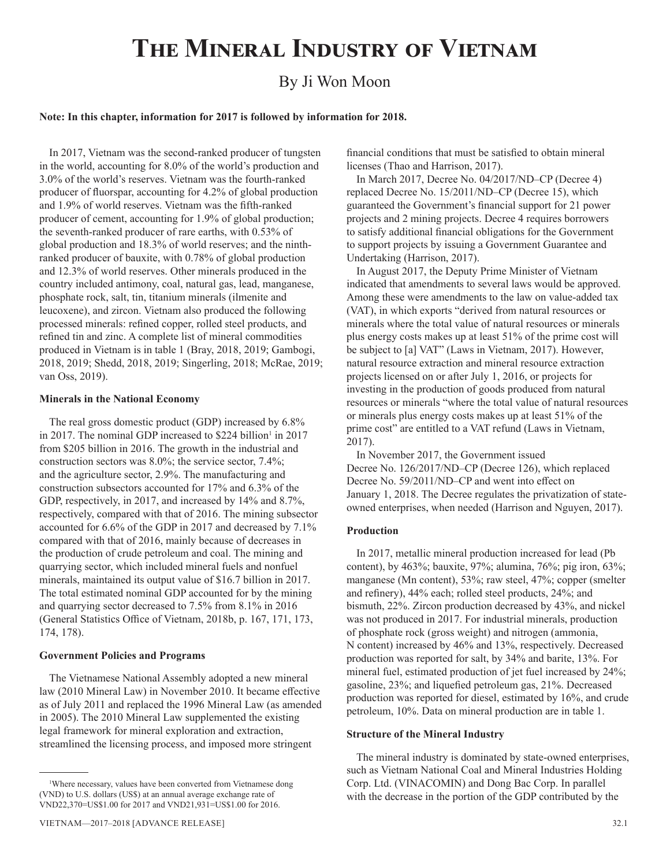# **The Mineral Industry of Vietnam**

# By Ji Won Moon

#### **Note: In this chapter, information for 2017 is followed by information for 2018.**

In 2017, Vietnam was the second-ranked producer of tungsten in the world, accounting for 8.0% of the world's production and 3.0% of the world's reserves. Vietnam was the fourth-ranked producer of fluorspar, accounting for 4.2% of global production and 1.9% of world reserves. Vietnam was the fifth-ranked producer of cement, accounting for 1.9% of global production; the seventh-ranked producer of rare earths, with 0.53% of global production and 18.3% of world reserves; and the ninthranked producer of bauxite, with 0.78% of global production and 12.3% of world reserves. Other minerals produced in the country included antimony, coal, natural gas, lead, manganese, phosphate rock, salt, tin, titanium minerals (ilmenite and leucoxene), and zircon. Vietnam also produced the following processed minerals: refined copper, rolled steel products, and refined tin and zinc. A complete list of mineral commodities produced in Vietnam is in table 1 (Bray, 2018, 2019; Gambogi, 2018, 2019; Shedd, 2018, 2019; Singerling, 2018; McRae, 2019; van Oss, 2019).

#### **Minerals in the National Economy**

The real gross domestic product (GDP) increased by 6.8% in 2017. The nominal GDP increased to \$224 billion<sup>1</sup> in 2017 from \$205 billion in 2016. The growth in the industrial and construction sectors was 8.0%; the service sector, 7.4%; and the agriculture sector, 2.9%. The manufacturing and construction subsectors accounted for 17% and 6.3% of the GDP, respectively, in 2017, and increased by 14% and 8.7%, respectively, compared with that of 2016. The mining subsector accounted for 6.6% of the GDP in 2017 and decreased by 7.1% compared with that of 2016, mainly because of decreases in the production of crude petroleum and coal. The mining and quarrying sector, which included mineral fuels and nonfuel minerals, maintained its output value of \$16.7 billion in 2017. The total estimated nominal GDP accounted for by the mining and quarrying sector decreased to 7.5% from 8.1% in 2016 (General Statistics Office of Vietnam, 2018b, p. 167, 171, 173, 174, 178).

#### **Government Policies and Programs**

The Vietnamese National Assembly adopted a new mineral law (2010 Mineral Law) in November 2010. It became effective as of July 2011 and replaced the 1996 Mineral Law (as amended in 2005). The 2010 Mineral Law supplemented the existing legal framework for mineral exploration and extraction, streamlined the licensing process, and imposed more stringent

financial conditions that must be satisfied to obtain mineral licenses (Thao and Harrison, 2017).

In March 2017, Decree No. 04/2017/ND–CP (Decree 4) replaced Decree No. 15/2011/ND–CP (Decree 15), which guaranteed the Government's financial support for 21 power projects and 2 mining projects. Decree 4 requires borrowers to satisfy additional financial obligations for the Government to support projects by issuing a Government Guarantee and Undertaking (Harrison, 2017).

In August 2017, the Deputy Prime Minister of Vietnam indicated that amendments to several laws would be approved. Among these were amendments to the law on value-added tax (VAT), in which exports "derived from natural resources or minerals where the total value of natural resources or minerals plus energy costs makes up at least 51% of the prime cost will be subject to [a] VAT" (Laws in Vietnam, 2017). However, natural resource extraction and mineral resource extraction projects licensed on or after July 1, 2016, or projects for investing in the production of goods produced from natural resources or minerals "where the total value of natural resources or minerals plus energy costs makes up at least 51% of the prime cost" are entitled to a VAT refund (Laws in Vietnam, 2017).

In November 2017, the Government issued Decree No. 126/2017/ND–CP (Decree 126), which replaced Decree No. 59/2011/ND–CP and went into effect on January 1, 2018. The Decree regulates the privatization of stateowned enterprises, when needed (Harrison and Nguyen, 2017).

#### **Production**

In 2017, metallic mineral production increased for lead (Pb content), by 463%; bauxite, 97%; alumina, 76%; pig iron, 63%; manganese (Mn content), 53%; raw steel, 47%; copper (smelter and refinery), 44% each; rolled steel products, 24%; and bismuth, 22%. Zircon production decreased by 43%, and nickel was not produced in 2017. For industrial minerals, production of phosphate rock (gross weight) and nitrogen (ammonia, N content) increased by 46% and 13%, respectively. Decreased production was reported for salt, by 34% and barite, 13%. For mineral fuel, estimated production of jet fuel increased by 24%; gasoline, 23%; and liquefied petroleum gas, 21%. Decreased production was reported for diesel, estimated by 16%, and crude petroleum, 10%. Data on mineral production are in table 1.

#### **Structure of the Mineral Industry**

The mineral industry is dominated by state-owned enterprises, such as Vietnam National Coal and Mineral Industries Holding Corp. Ltd. (VINACOMIN) and Dong Bac Corp. In parallel with the decrease in the portion of the GDP contributed by the

<sup>1</sup> Where necessary, values have been converted from Vietnamese dong (VND) to U.S. dollars (US\$) at an annual average exchange rate of VND22,370=US\$1.00 for 2017 and VND21,931=US\$1.00 for 2016.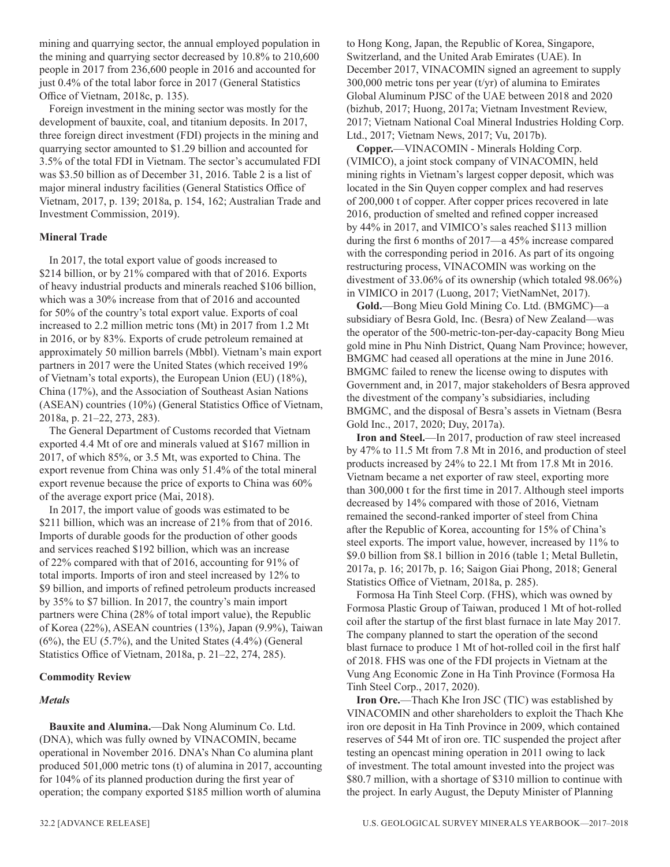mining and quarrying sector, the annual employed population in the mining and quarrying sector decreased by 10.8% to 210,600 people in 2017 from 236,600 people in 2016 and accounted for just 0.4% of the total labor force in 2017 (General Statistics Office of Vietnam, 2018c, p. 135).

Foreign investment in the mining sector was mostly for the development of bauxite, coal, and titanium deposits. In 2017, three foreign direct investment (FDI) projects in the mining and quarrying sector amounted to \$1.29 billion and accounted for 3.5% of the total FDI in Vietnam. The sector's accumulated FDI was \$3.50 billion as of December 31, 2016. Table 2 is a list of major mineral industry facilities (General Statistics Office of Vietnam, 2017, p. 139; 2018a, p. 154, 162; Australian Trade and Investment Commission, 2019).

#### **Mineral Trade**

In 2017, the total export value of goods increased to \$214 billion, or by 21% compared with that of 2016. Exports of heavy industrial products and minerals reached \$106 billion, which was a 30% increase from that of 2016 and accounted for 50% of the country's total export value. Exports of coal increased to 2.2 million metric tons (Mt) in 2017 from 1.2 Mt in 2016, or by 83%. Exports of crude petroleum remained at approximately 50 million barrels (Mbbl). Vietnam's main export partners in 2017 were the United States (which received 19% of Vietnam's total exports), the European Union (EU) (18%), China (17%), and the Association of Southeast Asian Nations (ASEAN) countries (10%) (General Statistics Office of Vietnam, 2018a, p. 21–22, 273, 283).

The General Department of Customs recorded that Vietnam exported 4.4 Mt of ore and minerals valued at \$167 million in 2017, of which 85%, or 3.5 Mt, was exported to China. The export revenue from China was only 51.4% of the total mineral export revenue because the price of exports to China was 60% of the average export price (Mai, 2018).

In 2017, the import value of goods was estimated to be \$211 billion, which was an increase of 21% from that of 2016. Imports of durable goods for the production of other goods and services reached \$192 billion, which was an increase of 22% compared with that of 2016, accounting for 91% of total imports. Imports of iron and steel increased by 12% to \$9 billion, and imports of refined petroleum products increased by 35% to \$7 billion. In 2017, the country's main import partners were China (28% of total import value), the Republic of Korea (22%), ASEAN countries (13%), Japan (9.9%), Taiwan  $(6%)$ , the EU  $(5.7%)$ , and the United States  $(4.4%)$  (General Statistics Office of Vietnam, 2018a, p. 21–22, 274, 285).

#### **Commodity Review**

#### *Metals*

**Bauxite and Alumina.**—Dak Nong Aluminum Co. Ltd. (DNA), which was fully owned by VINACOMIN, became operational in November 2016. DNA's Nhan Co alumina plant produced 501,000 metric tons (t) of alumina in 2017, accounting for 104% of its planned production during the first year of operation; the company exported \$185 million worth of alumina

to Hong Kong, Japan, the Republic of Korea, Singapore, Switzerland, and the United Arab Emirates (UAE). In December 2017, VINACOMIN signed an agreement to supply 300,000 metric tons per year  $(t/yr)$  of alumina to Emirates Global Aluminum PJSC of the UAE between 2018 and 2020 (bizhub, 2017; Huong, 2017a; Vietnam Investment Review, 2017; Vietnam National Coal Mineral Industries Holding Corp. Ltd., 2017; Vietnam News, 2017; Vu, 2017b).

**Copper.**—VINACOMIN - Minerals Holding Corp. (VIMICO), a joint stock company of VINACOMIN, held mining rights in Vietnam's largest copper deposit, which was located in the Sin Quyen copper complex and had reserves of 200,000 t of copper. After copper prices recovered in late 2016, production of smelted and refined copper increased by 44% in 2017, and VIMICO's sales reached \$113 million during the first 6 months of 2017—a 45% increase compared with the corresponding period in 2016. As part of its ongoing restructuring process, VINACOMIN was working on the divestment of 33.06% of its ownership (which totaled 98.06%) in VIMICO in 2017 (Luong, 2017; VietNamNet, 2017).

**Gold.**—Bong Mieu Gold Mining Co. Ltd. (BMGMC)—a subsidiary of Besra Gold, Inc. (Besra) of New Zealand—was the operator of the 500-metric-ton-per-day-capacity Bong Mieu gold mine in Phu Ninh District, Quang Nam Province; however, BMGMC had ceased all operations at the mine in June 2016. BMGMC failed to renew the license owing to disputes with Government and, in 2017, major stakeholders of Besra approved the divestment of the company's subsidiaries, including BMGMC, and the disposal of Besra's assets in Vietnam (Besra Gold Inc., 2017, 2020; Duy, 2017a).

**Iron and Steel.**—In 2017, production of raw steel increased by 47% to 11.5 Mt from 7.8 Mt in 2016, and production of steel products increased by 24% to 22.1 Mt from 17.8 Mt in 2016. Vietnam became a net exporter of raw steel, exporting more than 300,000 t for the first time in 2017. Although steel imports decreased by 14% compared with those of 2016, Vietnam remained the second-ranked importer of steel from China after the Republic of Korea, accounting for 15% of China's steel exports. The import value, however, increased by 11% to \$9.0 billion from \$8.1 billion in 2016 (table 1; Metal Bulletin, 2017a, p. 16; 2017b, p. 16; Saigon Giai Phong, 2018; General Statistics Office of Vietnam, 2018a, p. 285).

Formosa Ha Tinh Steel Corp. (FHS), which was owned by Formosa Plastic Group of Taiwan, produced 1 Mt of hot-rolled coil after the startup of the first blast furnace in late May 2017. The company planned to start the operation of the second blast furnace to produce 1 Mt of hot-rolled coil in the first half of 2018. FHS was one of the FDI projects in Vietnam at the Vung Ang Economic Zone in Ha Tinh Province (Formosa Ha Tinh Steel Corp., 2017, 2020).

**Iron Ore.**—Thach Khe Iron JSC (TIC) was established by VINACOMIN and other shareholders to exploit the Thach Khe iron ore deposit in Ha Tinh Province in 2009, which contained reserves of 544 Mt of iron ore. TIC suspended the project after testing an opencast mining operation in 2011 owing to lack of investment. The total amount invested into the project was \$80.7 million, with a shortage of \$310 million to continue with the project. In early August, the Deputy Minister of Planning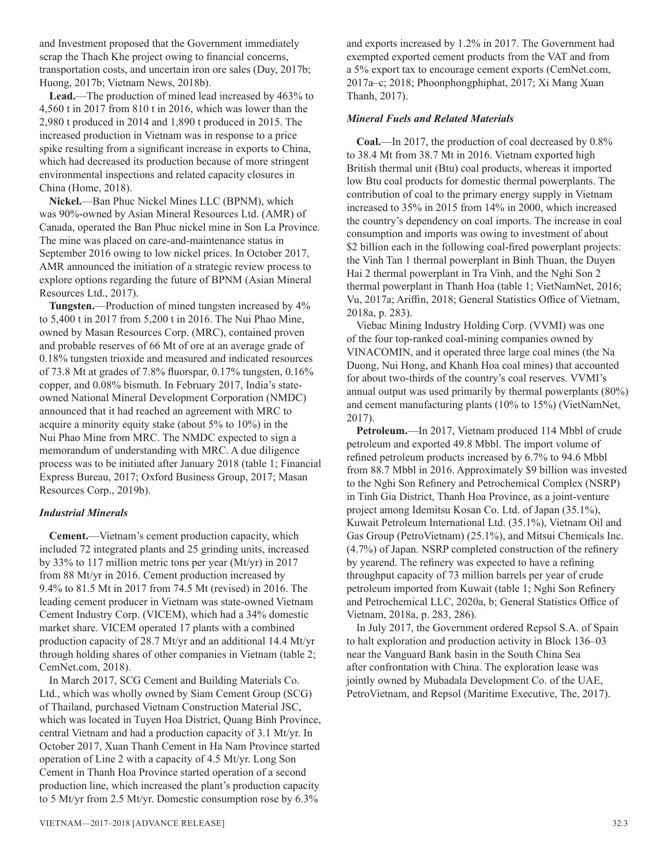and Investment proposed that the Government immediately scrap the Thach Khe project owing to financial concerns, transportation costs, and uncertain iron ore sales (Duy, 2017b; Huong, 2017b; Vietnam News, 2018b).

**Lead.**—The production of mined lead increased by 463% to 4,560 t in 2017 from 810 t in 2016, which was lower than the 2,980 t produced in 2014 and 1,890 t produced in 2015. The increased production in Vietnam was in response to a price spike resulting from a significant increase in exports to China, which had decreased its production because of more stringent environmental inspections and related capacity closures in China (Home, 2018).

**Nickel.**—Ban Phuc Nickel Mines LLC (BPNM), which was 90%-owned by Asian Mineral Resources Ltd. (AMR) of Canada, operated the Ban Phuc nickel mine in Son La Province. The mine was placed on care-and-maintenance status in September 2016 owing to low nickel prices. In October 2017, AMR announced the initiation of a strategic review process to explore options regarding the future of BPNM (Asian Mineral Resources Ltd., 2017).

**Tungsten.**—Production of mined tungsten increased by 4% to 5,400 t in 2017 from 5,200 t in 2016. The Nui Phao Mine, owned by Masan Resources Corp. (MRC), contained proven and probable reserves of 66 Mt of ore at an average grade of 0.18% tungsten trioxide and measured and indicated resources of 73.8 Mt at grades of 7.8% fluorspar, 0.17% tungsten, 0.16% copper, and 0.08% bismuth. In February 2017, India's stateowned National Mineral Development Corporation (NMDC) announced that it had reached an agreement with MRC to acquire a minority equity stake (about 5% to 10%) in the Nui Phao Mine from MRC. The NMDC expected to sign a memorandum of understanding with MRC. A due diligence process was to be initiated after January 2018 (table 1; Financial Express Bureau, 2017; Oxford Business Group, 2017; Masan Resources Corp., 2019b).

#### *Industrial Minerals*

**Cement.**—Vietnam's cement production capacity, which included 72 integrated plants and 25 grinding units, increased by 33% to 117 million metric tons per year (Mt/yr) in 2017 from 88 Mt/yr in 2016. Cement production increased by 9.4% to 81.5 Mt in 2017 from 74.5 Mt (revised) in 2016. The leading cement producer in Vietnam was state-owned Vietnam Cement Industry Corp. (VICEM), which had a 34% domestic market share. VICEM operated 17 plants with a combined production capacity of 28.7 Mt/yr and an additional 14.4 Mt/yr through holding shares of other companies in Vietnam (table 2; CemNet.com, 2018).

In March 2017, SCG Cement and Building Materials Co. Ltd., which was wholly owned by Siam Cement Group (SCG) of Thailand, purchased Vietnam Construction Material JSC, which was located in Tuyen Hoa District, Quang Binh Province, central Vietnam and had a production capacity of 3.1 Mt/yr. In October 2017, Xuan Thanh Cement in Ha Nam Province started operation of Line 2 with a capacity of 4.5 Mt/yr. Long Son Cement in Thanh Hoa Province started operation of a second production line, which increased the plant's production capacity to 5 Mt/yr from 2.5 Mt/yr. Domestic consumption rose by 6.3%

and exports increased by 1.2% in 2017. The Government had exempted exported cement products from the VAT and from a 5% export tax to encourage cement exports (CemNet.com, 2017a–c; 2018; Phoonphongphiphat, 2017; Xi Mang Xuan Thanh, 2017).

#### *Mineral Fuels and Related Materials*

**Coal.**—In 2017, the production of coal decreased by 0.8% to 38.4 Mt from 38.7 Mt in 2016. Vietnam exported high British thermal unit (Btu) coal products, whereas it imported low Btu coal products for domestic thermal powerplants. The contribution of coal to the primary energy supply in Vietnam increased to 35% in 2015 from 14% in 2000, which increased the country's dependency on coal imports. The increase in coal consumption and imports was owing to investment of about \$2 billion each in the following coal-fired powerplant projects: the Vinh Tan 1 thermal powerplant in Binh Thuan, the Duyen Hai 2 thermal powerplant in Tra Vinh, and the Nghi Son 2 thermal powerplant in Thanh Hoa (table 1; VietNamNet, 2016; Vu, 2017a; Ariffin, 2018; General Statistics Office of Vietnam, 2018a, p. 283).

Viebac Mining Industry Holding Corp. (VVMI) was one of the four top-ranked coal-mining companies owned by VINACOMIN, and it operated three large coal mines (the Na Duong, Nui Hong, and Khanh Hoa coal mines) that accounted for about two-thirds of the country's coal reserves. VVMI's annual output was used primarily by thermal powerplants (80%) and cement manufacturing plants (10% to 15%) (VietNamNet, 2017).

**Petroleum.**—In 2017, Vietnam produced 114 Mbbl of crude petroleum and exported 49.8 Mbbl. The import volume of refined petroleum products increased by 6.7% to 94.6 Mbbl from 88.7 Mbbl in 2016. Approximately \$9 billion was invested to the Nghi Son Refinery and Petrochemical Complex (NSRP) in Tinh Gia District, Thanh Hoa Province, as a joint-venture project among Idemitsu Kosan Co. Ltd. of Japan (35.1%), Kuwait Petroleum International Ltd. (35.1%), Vietnam Oil and Gas Group (PetroVietnam) (25.1%), and Mitsui Chemicals Inc. (4.7%) of Japan. NSRP completed construction of the refinery by yearend. The refinery was expected to have a refining throughput capacity of 73 million barrels per year of crude petroleum imported from Kuwait (table 1; Nghi Son Refinery and Petrochemical LLC, 2020a, b; General Statistics Office of Vietnam, 2018a, p. 283, 286).

In July 2017, the Government ordered Repsol S.A. of Spain to halt exploration and production activity in Block 136–03 near the Vanguard Bank basin in the South China Sea after confrontation with China. The exploration lease was jointly owned by Mubadala Development Co. of the UAE, PetroVietnam, and Repsol (Maritime Executive, The, 2017).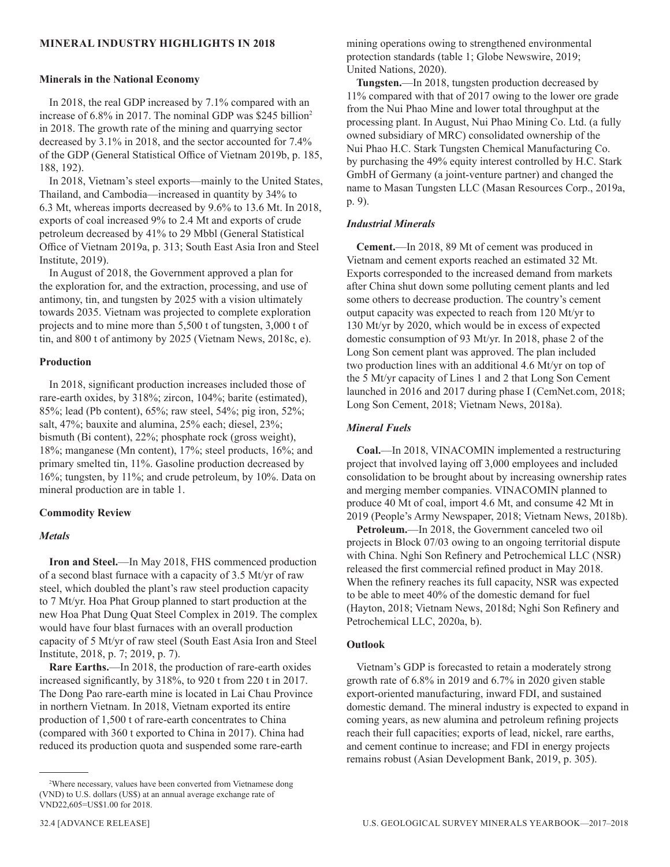#### **MINERAL INDUSTRY HIGHLIGHTS IN 2018**

#### **Minerals in the National Economy**

In 2018, the real GDP increased by 7.1% compared with an increase of 6.8% in 2017. The nominal GDP was \$245 billion<sup>2</sup> in 2018. The growth rate of the mining and quarrying sector decreased by 3.1% in 2018, and the sector accounted for 7.4% of the GDP (General Statistical Office of Vietnam 2019b, p. 185, 188, 192).

In 2018, Vietnam's steel exports—mainly to the United States, Thailand, and Cambodia—increased in quantity by 34% to 6.3 Mt, whereas imports decreased by 9.6% to 13.6 Mt. In 2018, exports of coal increased 9% to 2.4 Mt and exports of crude petroleum decreased by 41% to 29 Mbbl (General Statistical Office of Vietnam 2019a, p. 313; South East Asia Iron and Steel Institute, 2019).

In August of 2018, the Government approved a plan for the exploration for, and the extraction, processing, and use of antimony, tin, and tungsten by 2025 with a vision ultimately towards 2035. Vietnam was projected to complete exploration projects and to mine more than 5,500 t of tungsten, 3,000 t of tin, and 800 t of antimony by 2025 (Vietnam News, 2018c, e).

#### **Production**

In 2018, significant production increases included those of rare-earth oxides, by 318%; zircon, 104%; barite (estimated), 85%; lead (Pb content), 65%; raw steel, 54%; pig iron, 52%; salt, 47%; bauxite and alumina, 25% each; diesel, 23%; bismuth (Bi content), 22%; phosphate rock (gross weight), 18%; manganese (Mn content), 17%; steel products, 16%; and primary smelted tin, 11%. Gasoline production decreased by 16%; tungsten, by 11%; and crude petroleum, by 10%. Data on mineral production are in table 1.

#### **Commodity Review**

#### *Metals*

**Iron and Steel.**—In May 2018, FHS commenced production of a second blast furnace with a capacity of 3.5 Mt/yr of raw steel, which doubled the plant's raw steel production capacity to 7 Mt/yr. Hoa Phat Group planned to start production at the new Hoa Phat Dung Quat Steel Complex in 2019. The complex would have four blast furnaces with an overall production capacity of 5 Mt/yr of raw steel (South East Asia Iron and Steel Institute, 2018, p. 7; 2019, p. 7).

**Rare Earths.**—In 2018, the production of rare-earth oxides increased significantly, by 318%, to 920 t from 220 t in 2017. The Dong Pao rare-earth mine is located in Lai Chau Province in northern Vietnam. In 2018, Vietnam exported its entire production of 1,500 t of rare-earth concentrates to China (compared with 360 t exported to China in 2017). China had reduced its production quota and suspended some rare-earth

mining operations owing to strengthened environmental protection standards (table 1; Globe Newswire, 2019; United Nations, 2020).

**Tungsten.**—In 2018, tungsten production decreased by 11% compared with that of 2017 owing to the lower ore grade from the Nui Phao Mine and lower total throughput at the processing plant. In August, Nui Phao Mining Co. Ltd. (a fully owned subsidiary of MRC) consolidated ownership of the Nui Phao H.C. Stark Tungsten Chemical Manufacturing Co. by purchasing the 49% equity interest controlled by H.C. Stark GmbH of Germany (a joint-venture partner) and changed the name to Masan Tungsten LLC (Masan Resources Corp., 2019a, p. 9).

#### *Industrial Minerals*

**Cement.**—In 2018, 89 Mt of cement was produced in Vietnam and cement exports reached an estimated 32 Mt. Exports corresponded to the increased demand from markets after China shut down some polluting cement plants and led some others to decrease production. The country's cement output capacity was expected to reach from 120 Mt/yr to 130 Mt/yr by 2020, which would be in excess of expected domestic consumption of 93 Mt/yr. In 2018, phase 2 of the Long Son cement plant was approved. The plan included two production lines with an additional 4.6 Mt/yr on top of the 5 Mt/yr capacity of Lines 1 and 2 that Long Son Cement launched in 2016 and 2017 during phase I (CemNet.com, 2018; Long Son Cement, 2018; Vietnam News, 2018a).

#### *Mineral Fuels*

**Coal.**—In 2018, VINACOMIN implemented a restructuring project that involved laying off 3,000 employees and included consolidation to be brought about by increasing ownership rates and merging member companies. VINACOMIN planned to produce 40 Mt of coal, import 4.6 Mt, and consume 42 Mt in 2019 (People's Army Newspaper, 2018; Vietnam News, 2018b).

**Petroleum.**—In 2018, the Government canceled two oil projects in Block 07/03 owing to an ongoing territorial dispute with China. Nghi Son Refinery and Petrochemical LLC (NSR) released the first commercial refined product in May 2018. When the refinery reaches its full capacity, NSR was expected to be able to meet 40% of the domestic demand for fuel (Hayton, 2018; Vietnam News, 2018d; Nghi Son Refinery and Petrochemical LLC, 2020a, b).

#### **Outlook**

Vietnam's GDP is forecasted to retain a moderately strong growth rate of 6.8% in 2019 and 6.7% in 2020 given stable export-oriented manufacturing, inward FDI, and sustained domestic demand. The mineral industry is expected to expand in coming years, as new alumina and petroleum refining projects reach their full capacities; exports of lead, nickel, rare earths, and cement continue to increase; and FDI in energy projects remains robust (Asian Development Bank, 2019, p. 305).

<sup>2</sup> Where necessary, values have been converted from Vietnamese dong (VND) to U.S. dollars (US\$) at an annual average exchange rate of VND22,605=US\$1.00 for 2018.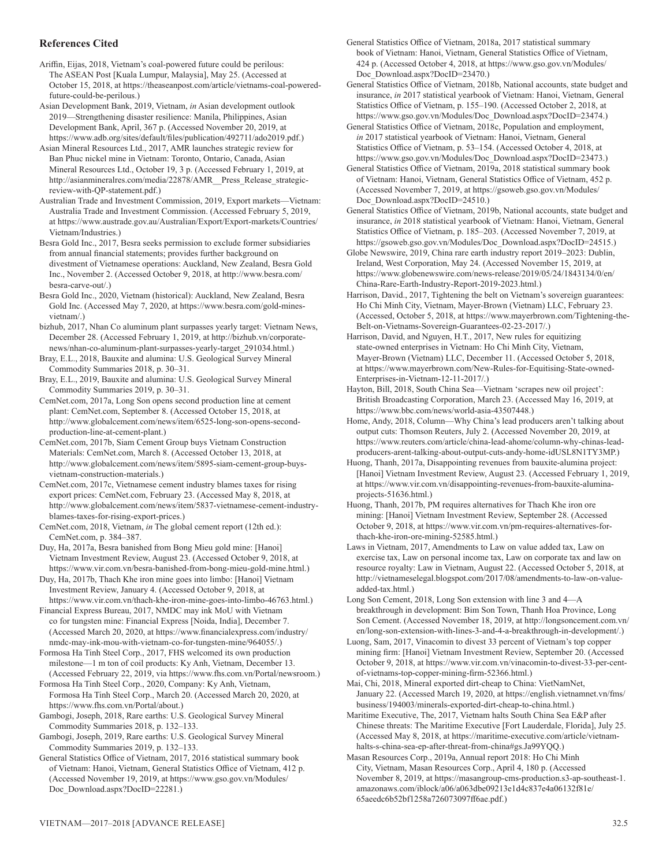#### **References Cited**

Ariffin, Eijas, 2018, Vietnam's coal-powered future could be perilous: The ASEAN Post [Kuala Lumpur, Malaysia], May 25. (Accessed at October 15, 2018, at https://theaseanpost.com/article/vietnams-coal-poweredfuture-could-be-perilous.)

Asian Development Bank, 2019, Vietnam, *in* Asian development outlook 2019—Strengthening disaster resilience: Manila, Philippines, Asian Development Bank, April, 367 p. (Accessed November 20, 2019, at https://www.adb.org/sites/default/files/publication/492711/ado2019.pdf.)

Asian Mineral Resources Ltd., 2017, AMR launches strategic review for Ban Phuc nickel mine in Vietnam: Toronto, Ontario, Canada, Asian Mineral Resources Ltd., October 19, 3 p. (Accessed February 1, 2019, at http://asianmineralres.com/media/22878/AMR\_\_Press\_Release\_strategicreview-with-QP-statement.pdf.)

Australian Trade and Investment Commission, 2019, Export markets—Vietnam: Australia Trade and Investment Commission. (Accessed February 5, 2019, at https://www.austrade.gov.au/Australian/Export/Export-markets/Countries/ Vietnam/Industries.)

Besra Gold Inc., 2017, Besra seeks permission to exclude former subsidiaries from annual financial statements; provides further background on divestment of Vietnamese operations: Auckland, New Zealand, Besra Gold Inc., November 2. (Accessed October 9, 2018, at http://www.besra.com/ besra-carve-out/.)

Besra Gold Inc., 2020, Vietnam (historical): Auckland, New Zealand, Besra Gold Inc. (Accessed May 7, 2020, at https://www.besra.com/gold-minesvietnam/.)

bizhub, 2017, Nhan Co aluminum plant surpasses yearly target: Vietnam News, December 28. (Accessed February 1, 2019, at http://bizhub.vn/corporatenews/nhan-co-aluminum-plant-surpasses-yearly-target\_291034.html.)

Bray, E.L., 2018, Bauxite and alumina: U.S. Geological Survey Mineral Commodity Summaries 2018, p. 30–31.

Bray, E.L., 2019, Bauxite and alumina: U.S. Geological Survey Mineral Commodity Summaries 2019, p. 30–31.

CemNet.com, 2017a, Long Son opens second production line at cement plant: CemNet.com, September 8. (Accessed October 15, 2018, at http://www.globalcement.com/news/item/6525-long-son-opens-secondproduction-line-at-cement-plant.)

CemNet.com, 2017b, Siam Cement Group buys Vietnam Construction Materials: CemNet.com, March 8. (Accessed October 13, 2018, at http://www.globalcement.com/news/item/5895-siam-cement-group-buysvietnam-construction-materials.)

CemNet.com, 2017c, Vietnamese cement industry blames taxes for rising export prices: CemNet.com, February 23. (Accessed May 8, 2018, at http://www.globalcement.com/news/item/5837-vietnamese-cement-industryblames-taxes-for-rising-export-prices.)

CemNet.com, 2018, Vietnam, *in* The global cement report (12th ed.): CemNet.com, p. 384–387.

Duy, Ha, 2017a, Besra banished from Bong Mieu gold mine: [Hanoi] Vietnam Investment Review, August 23. (Accessed October 9, 2018, at https://www.vir.com.vn/besra-banished-from-bong-mieu-gold-mine.html.)

Duy, Ha, 2017b, Thach Khe iron mine goes into limbo: [Hanoi] Vietnam Investment Review, January 4. (Accessed October 9, 2018, at

https://www.vir.com.vn/thach-khe-iron-mine-goes-into-limbo-46763.html.) Financial Express Bureau, 2017, NMDC may ink MoU with Vietnam

co for tungsten mine: Financial Express [Noida, India], December 7. (Accessed March 20, 2020, at https://www.financialexpress.com/industry/ nmdc-may-ink-mou-with-vietnam-co-for-tungsten-mine/964055/.)

Formosa Ha Tinh Steel Corp., 2017, FHS welcomed its own production milestone—1 m ton of coil products: Ky Anh, Vietnam, December 13. (Accessed February 22, 2019, via https://www.fhs.com.vn/Portal/newsroom.)

Formosa Ha Tinh Steel Corp., 2020, Company: Ky Anh, Vietnam, Formosa Ha Tinh Steel Corp., March 20. (Accessed March 20, 2020, at https://www.fhs.com.vn/Portal/about.)

Gambogi, Joseph, 2018, Rare earths: U.S. Geological Survey Mineral Commodity Summaries 2018, p. 132–133.

Gambogi, Joseph, 2019, Rare earths: U.S. Geological Survey Mineral Commodity Summaries 2019, p. 132–133.

General Statistics Office of Vietnam, 2017, 2016 statistical summary book of Vietnam: Hanoi, Vietnam, General Statistics Office of Vietnam, 412 p. (Accessed November 19, 2019, at https://www.gso.gov.vn/Modules/ Doc\_Download.aspx?DocID=22281.)

General Statistics Office of Vietnam, 2018b, National accounts, state budget and insurance, *in* 2017 statistical yearbook of Vietnam: Hanoi, Vietnam, General Statistics Office of Vietnam, p. 155–190. (Accessed October 2, 2018, at https://www.gso.gov.vn/Modules/Doc\_Download.aspx?DocID=23474.)

General Statistics Office of Vietnam, 2018c, Population and employment, *in* 2017 statistical yearbook of Vietnam: Hanoi, Vietnam, General Statistics Office of Vietnam, p. 53–154. (Accessed October 4, 2018, at https://www.gso.gov.vn/Modules/Doc\_Download.aspx?DocID=23473.)

General Statistics Office of Vietnam, 2019a, 2018 statistical summary book of Vietnam: Hanoi, Vietnam, General Statistics Office of Vietnam, 452 p. (Accessed November 7, 2019, at https://gsoweb.gso.gov.vn/Modules/ Doc Download.aspx?DocID=24510.)

General Statistics Office of Vietnam, 2019b, National accounts, state budget and insurance, *in* 2018 statistical yearbook of Vietnam: Hanoi, Vietnam, General Statistics Office of Vietnam, p. 185–203. (Accessed November 7, 2019, at https://gsoweb.gso.gov.vn/Modules/Doc\_Download.aspx?DocID=24515.)

Globe Newswire, 2019, China rare earth industry report 2019–2023: Dublin, Ireland, West Corporation, May 24. (Accessed November 15, 2019, at https://www.globenewswire.com/news-release/2019/05/24/1843134/0/en/ China-Rare-Earth-Industry-Report-2019-2023.html.)

Harrison, David., 2017, Tightening the belt on Vietnam's sovereign guarantees: Ho Chi Minh City, Vietnam, Mayer-Brown (Vietnam) LLC, February 23. (Accessed, October 5, 2018, at https://www.mayerbrown.com/Tightening-the-Belt-on-Vietnams-Sovereign-Guarantees-02-23-2017/.)

Harrison, David, and Nguyen, H.T., 2017, New rules for equitizing state-owned enterprises in Vietnam: Ho Chi Minh City, Vietnam, Mayer-Brown (Vietnam) LLC, December 11. (Accessed October 5, 2018, at https://www.mayerbrown.com/New-Rules-for-Equitising-State-owned-Enterprises-in-Vietnam-12-11-2017/.)

Hayton, Bill, 2018, South China Sea—Vietnam 'scrapes new oil project': British Broadcasting Corporation, March 23. (Accessed May 16, 2019, at https://www.bbc.com/news/world-asia-43507448.)

Home, Andy, 2018, Column—Why China's lead producers aren't talking about output cuts: Thomson Reuters, July 2. (Accessed November 20, 2019, at https://www.reuters.com/article/china-lead-ahome/column-why-chinas-leadproducers-arent-talking-about-output-cuts-andy-home-idUSL8N1TY3MP.)

Huong, Thanh, 2017a, Disappointing revenues from bauxite-alumina project: [Hanoi] Vietnam Investment Review, August 23. (Accessed February 1, 2019, at https://www.vir.com.vn/disappointing-revenues-from-bauxite-aluminaprojects-51636.html.)

Huong, Thanh, 2017b, PM requires alternatives for Thach Khe iron ore mining: [Hanoi] Vietnam Investment Review, September 28. (Accessed October 9, 2018, at https://www.vir.com.vn/pm-requires-alternatives-forthach-khe-iron-ore-mining-52585.html.)

Laws in Vietnam, 2017, Amendments to Law on value added tax, Law on exercise tax, Law on personal income tax, Law on corporate tax and law on resource royalty: Law in Vietnam, August 22. (Accessed October 5, 2018, at http://vietnameselegal.blogspot.com/2017/08/amendments-to-law-on-valueadded-tax.html.)

Long Son Cement, 2018, Long Son extension with line 3 and 4—A breakthrough in development: Bim Son Town, Thanh Hoa Province, Long Son Cement. (Accessed November 18, 2019, at http://longsoncement.com.vn/ en/long-son-extension-with-lines-3-and-4-a-breakthrough-in-development/.)

Luong, Sam, 2017, Vinacomin to divest 33 percent of Vietnam's top copper mining firm: [Hanoi] Vietnam Investment Review, September 20. (Accessed October 9, 2018, at https://www.vir.com.vn/vinacomin-to-divest-33-per-centof-vietnams-top-copper-mining-firm-52366.html.)

Mai, Chi, 2018, Mineral exported dirt-cheap to China: VietNamNet, January 22. (Accessed March 19, 2020, at https://english.vietnamnet.vn/fms/ business/194003/minerals-exported-dirt-cheap-to-china.html.)

Maritime Executive, The, 2017, Vietnam halts South China Sea E&P after Chinese threats: The Maritime Executive [Fort Lauderdale, Florida], July 25. (Accessed May 8, 2018, at https://maritime-executive.com/article/vietnamhalts-s-china-sea-ep-after-threat-from-china#gs.Ja99YQQ.)

Masan Resources Corp., 2019a, Annual report 2018: Ho Chi Minh City, Vietnam, Masan Resources Corp., April 4, 180 p. (Accessed November 8, 2019, at https://masangroup-cms-production.s3-ap-southeast-1. amazonaws.com/iblock/a06/a063dbe09213e1d4c837e4a06132f81e/ 65aeedc6b52bf1258a726073097ff6ae.pdf.)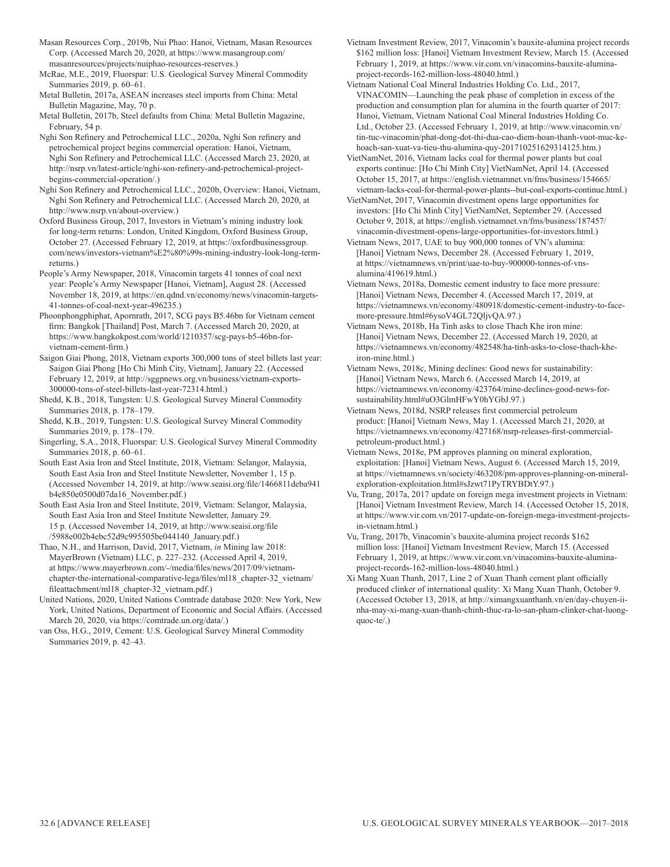Masan Resources Corp., 2019b, Nui Phao: Hanoi, Vietnam, Masan Resources Corp. (Accessed March 20, 2020, at https://www.masangroup.com/ masanresources/projects/nuiphao-resources-reserves.)

McRae, M.E., 2019, Fluorspar: U.S. Geological Survey Mineral Commodity Summaries 2019, p. 60–61.

Metal Bulletin, 2017a, ASEAN increases steel imports from China: Metal Bulletin Magazine, May, 70 p.

Metal Bulletin, 2017b, Steel defaults from China: Metal Bulletin Magazine, February, 54 p.

Nghi Son Refinery and Petrochemical LLC., 2020a, Nghi Son refinery and petrochemical project begins commercial operation: Hanoi, Vietnam, Nghi Son Refinery and Petrochemical LLC. (Accessed March 23, 2020, at http://nsrp.vn/latest-article/nghi-son-refinery-and-petrochemical-projectbegins-commercial-operation/.)

Nghi Son Refinery and Petrochemical LLC., 2020b, Overview: Hanoi, Vietnam, Nghi Son Refinery and Petrochemical LLC. (Accessed March 20, 2020, at http://www.nsrp.vn/about-overview.)

Oxford Business Group, 2017, Investors in Vietnam's mining industry look for long-term returns: London, United Kingdom, Oxford Business Group, October 27. (Accessed February 12, 2019, at https://oxfordbusinessgroup. com/news/investors-vietnam%E2%80%99s-mining-industry-look-long-termreturns.)

People's Army Newspaper, 2018, Vinacomin targets 41 tonnes of coal next year: People's Army Newspaper [Hanoi, Vietnam], August 28. (Accessed November 18, 2019, at https://en.qdnd.vn/economy/news/vinacomin-targets-41-tonnes-of-coal-next-year-496235.)

Phoonphongphiphat, Apornrath, 2017, SCG pays B5.46bn for Vietnam cement firm: Bangkok [Thailand] Post, March 7. (Accessed March 20, 2020, at https://www.bangkokpost.com/world/1210357/scg-pays-b5-46bn-forvietnam-cement-firm.)

Saigon Giai Phong, 2018, Vietnam exports 300,000 tons of steel billets last year: Saigon Giai Phong [Ho Chi Minh City, Vietnam], January 22. (Accessed February 12, 2019, at http://sggpnews.org.vn/business/vietnam-exports-300000-tons-of-steel-billets-last-year-72314.html.)

Shedd, K.B., 2018, Tungsten: U.S. Geological Survey Mineral Commodity Summaries 2018, p. 178–179.

Shedd, K.B., 2019, Tungsten: U.S. Geological Survey Mineral Commodity Summaries 2019, p. 178–179.

Singerling, S.A., 2018, Fluorspar: U.S. Geological Survey Mineral Commodity Summaries 2018, p. 60–61.

South East Asia Iron and Steel Institute, 2018, Vietnam: Selangor, Malaysia, South East Asia Iron and Steel Institute Newsletter, November 1, 15 p. (Accessed November 14, 2019, at http://www.seaisi.org/file/1466811deba941 b4e850e0500d07da16\_November.pdf.)

South East Asia Iron and Steel Institute, 2019, Vietnam: Selangor, Malaysia, South East Asia Iron and Steel Institute Newsletter, January 29. 15 p. (Accessed November 14, 2019, at http://www.seaisi.org/file /5988e002b4ebc52d9c995505be044140\_January.pdf.)

Thao, N.H., and Harrison, David, 2017, Vietnam, *in* Mining law 2018: MayerBrown (Vietnam) LLC, p. 227–232. (Accessed April 4, 2019, at https://www.mayerbrown.com/-/media/files/news/2017/09/vietnamchapter-the-international-comparative-lega/files/ml18\_chapter-32\_vietnam/ fileattachment/ml18\_chapter-32\_vietnam.pdf.)

United Nations, 2020, United Nations Comtrade database 2020: New York, New York, United Nations, Department of Economic and Social Affairs. (Accessed March 20, 2020, via https://comtrade.un.org/data/.)

van Oss, H.G., 2019, Cement: U.S. Geological Survey Mineral Commodity Summaries 2019, p. 42–43.

Vietnam Investment Review, 2017, Vinacomin's bauxite-alumina project records \$162 million loss: [Hanoi] Vietnam Investment Review, March 15. (Accessed February 1, 2019, at https://www.vir.com.vn/vinacomins-bauxite-aluminaproject-records-162-million-loss-48040.html.)

Vietnam National Coal Mineral Industries Holding Co. Ltd., 2017, VINACOMIN—Launching the peak phase of completion in excess of the production and consumption plan for alumina in the fourth quarter of 2017: Hanoi, Vietnam, Vietnam National Coal Mineral Industries Holding Co. Ltd., October 23. (Accessed February 1, 2019, at http://www.vinacomin.vn/ tin-tuc-vinacomin/phat-dong-dot-thi-dua-cao-diem-hoan-thanh-vuot-muc-kehoach-san-xuat-va-tieu-thu-alumina-quy-201710251629314125.htm.)

VietNamNet, 2016, Vietnam lacks coal for thermal power plants but coal exports continue: [Ho Chi Minh City] VietNamNet, April 14. (Accessed October 15, 2017, at https://english.vietnamnet.vn/fms/business/154665/ vietnam-lacks-coal-for-thermal-power-plants--but-coal-exports-continue.html.)

VietNamNet, 2017, Vinacomin divestment opens large opportunities for investors: [Ho Chi Minh City] VietNamNet, September 29. (Accessed October 9, 2018, at https://english.vietnamnet.vn/fms/business/187457/ vinacomin-divestment-opens-large-opportunities-for-investors.html.)

Vietnam News, 2017, UAE to buy 900,000 tonnes of VN's alumina: [Hanoi] Vietnam News, December 28. (Accessed February 1, 2019, at https://vietnamnews.vn/print/uae-to-buy-900000-tonnes-of-vnsalumina/419619.html.)

Vietnam News, 2018a, Domestic cement industry to face more pressure: [Hanoi] Vietnam News, December 4. (Accessed March 17, 2019, at https://vietnamnews.vn/economy/480918/domestic-cement-industry-to-facemore-pressure.html#6ysoV4GL72QljvQA.97.)

Vietnam News, 2018b, Ha Tinh asks to close Thach Khe iron mine: [Hanoi] Vietnam News, December 22. (Accessed March 19, 2020, at https://vietnamnews.vn/economy/482548/ha-tinh-asks-to-close-thach-kheiron-mine.html.)

Vietnam News, 2018c, Mining declines: Good news for sustainability: [Hanoi] Vietnam News, March 6. (Accessed March 14, 2019, at https://vietnamnews.vn/economy/423764/mine-declines-good-news-forsustainability.html#uO3GlmHFwY0hYGbJ.97.)

Vietnam News, 2018d, NSRP releases first commercial petroleum product: [Hanoi] Vietnam News, May 1. (Accessed March 21, 2020, at https://vietnamnews.vn/economy/427168/nsrp-releases-first-commercialpetroleum-product.html.)

Vietnam News, 2018e, PM approves planning on mineral exploration, exploitation: [Hanoi] Vietnam News, August 6. (Accessed March 15, 2019, at https://vietnamnews.vn/society/463208/pm-approves-planning-on-mineralexploration-exploitation.html#sJzwt71PyTRYBDtY.97.)

Vu, Trang, 2017a, 2017 update on foreign mega investment projects in Vietnam: [Hanoi] Vietnam Investment Review, March 14. (Accessed October 15, 2018, at https://www.vir.com.vn/2017-update-on-foreign-mega-investment-projectsin-vietnam.html.)

Vu, Trang, 2017b, Vinacomin's bauxite-alumina project records \$162 million loss: [Hanoi] Vietnam Investment Review, March 15. (Accessed February 1, 2019, at https://www.vir.com.vn/vinacomins-bauxite-aluminaproject-records-162-million-loss-48040.html.)

Xi Mang Xuan Thanh, 2017, Line 2 of Xuan Thanh cement plant officially produced clinker of international quality: Xi Mang Xuan Thanh, October 9. (Accessed October 13, 2018, at http://ximangxuanthanh.vn/en/day-chuyen-iinha-may-xi-mang-xuan-thanh-chinh-thuc-ra-lo-san-pham-clinker-chat-luongquoc-te/.)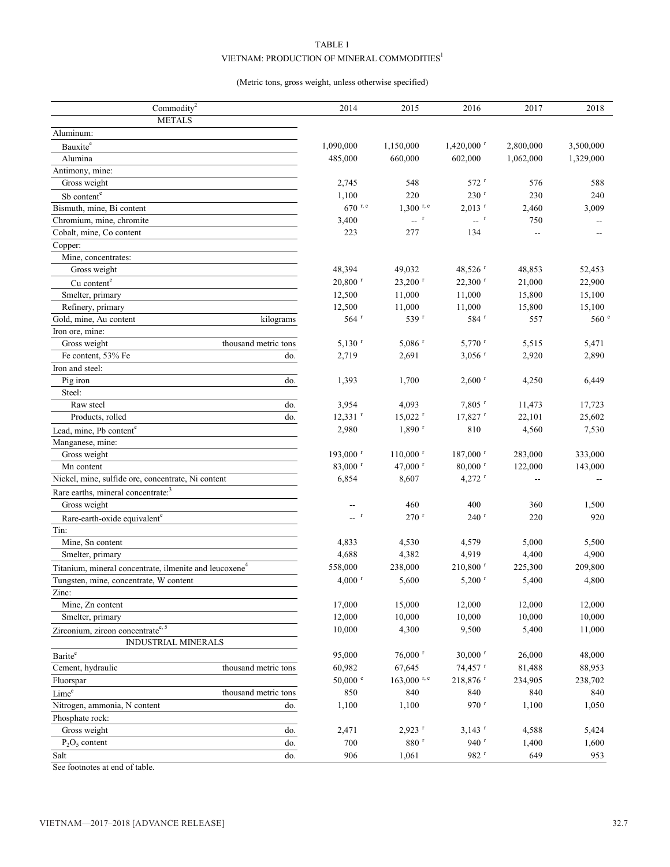# TABLE 1 VIETNAM: PRODUCTION OF MINERAL COMMODITIES  $^{\rm l}$

## (Metric tons, gross weight, unless otherwise specified)

| Commodity <sup>2</sup>                                             | 2014                                                   | 2015                                                | 2016                        | 2017      | 2018                      |
|--------------------------------------------------------------------|--------------------------------------------------------|-----------------------------------------------------|-----------------------------|-----------|---------------------------|
| <b>METALS</b>                                                      |                                                        |                                                     |                             |           |                           |
| Aluminum:                                                          |                                                        |                                                     |                             |           |                           |
| Bauxite <sup>e</sup>                                               | 1,090,000                                              | 1,150,000                                           | $1,420,000$ <sup>r</sup>    | 2,800,000 | 3,500,000                 |
| Alumina                                                            | 485,000                                                | 660,000                                             | 602,000                     | 1,062,000 | 1,329,000                 |
| Antimony, mine:                                                    |                                                        |                                                     |                             |           |                           |
| Gross weight                                                       | 2,745                                                  | 548                                                 | $572$ <sup>r</sup>          | 576       | 588                       |
| Sb content <sup>e</sup>                                            | 1,100                                                  | 220                                                 | 230 r                       | 230       | 240                       |
| Bismuth, mine, Bi content                                          | $670$ <sup>r, e</sup>                                  | $1.300$ r, e                                        | $2,013$ <sup>r</sup>        | 2,460     | 3,009                     |
| Chromium, mine, chromite                                           | 3,400                                                  | $\mathbb{L}^{\mathbb{L}^{\times \times \mathbb{C}}$ | $\mathbf{L}$ – $\mathbf{r}$ | 750       |                           |
| Cobalt, mine, Co content                                           | 223                                                    | 277                                                 | 134                         | Щ,        | --                        |
| Copper:                                                            |                                                        |                                                     |                             |           |                           |
| Mine, concentrates:                                                |                                                        |                                                     |                             |           |                           |
| Gross weight                                                       | 48,394                                                 | 49,032                                              | 48,526 $r$                  | 48,853    | 52,453                    |
| Cu content <sup>e</sup>                                            | $20,800$ <sup>r</sup>                                  | $23,200$ <sup>r</sup>                               | $22,300$ <sup>r</sup>       | 21,000    | 22,900                    |
| Smelter, primary                                                   | 12,500                                                 | 11,000                                              | 11,000                      | 15,800    | 15,100                    |
| Refinery, primary                                                  | 12,500                                                 | 11,000                                              | 11,000                      | 15,800    | 15,100                    |
| Gold, mine, Au content<br>kilograms                                | 564 <sup>r</sup>                                       | 539 r                                               | 584 <sup>r</sup>            | 557       | 560 <sup>°</sup>          |
| Iron ore, mine:                                                    |                                                        |                                                     |                             |           |                           |
| thousand metric tons<br>Gross weight                               | $5,130$ <sup>r</sup>                                   | $5,086$ <sup>r</sup>                                | $5,770$ <sup>r</sup>        | 5,515     | 5,471                     |
| Fe content, 53% Fe<br>do.                                          | 2,719                                                  | 2,691                                               | $3,056$ <sup>r</sup>        | 2,920     | 2,890                     |
| Iron and steel:                                                    |                                                        |                                                     |                             |           |                           |
| Pig iron<br>do.                                                    | 1,393                                                  | 1,700                                               | $2,600$ <sup>r</sup>        | 4,250     | 6,449                     |
| Steel:                                                             |                                                        |                                                     |                             |           |                           |
| Raw steel<br>do.                                                   | 3,954                                                  | 4,093                                               | $7,805$ <sup>r</sup>        | 11,473    | 17,723                    |
| Products, rolled<br>do.                                            | $12,331$ <sup>r</sup>                                  | $15,022$ <sup>r</sup>                               | $17,827$ <sup>r</sup>       | 22,101    | 25,602                    |
|                                                                    | 2,980                                                  | $1,890$ <sup>r</sup>                                | 810                         | 4,560     | 7,530                     |
| Lead, mine, Pb content <sup>e</sup>                                |                                                        |                                                     |                             |           |                           |
| Manganese, mine:<br>Gross weight                                   | 193,000 <sup>r</sup>                                   | $110,000$ <sup>r</sup>                              | $187,000$ <sup>r</sup>      | 283,000   | 333,000                   |
|                                                                    | 83,000 r                                               | 47,000 $r$                                          | $80,000$ <sup>r</sup>       | 122,000   |                           |
| Mn content<br>Nickel, mine, sulfide ore, concentrate, Ni content   | 6,854                                                  | 8,607                                               | $4,272$ <sup>r</sup>        |           | 143,000<br>$\overline{a}$ |
|                                                                    |                                                        |                                                     |                             |           |                           |
| Rare earths, mineral concentrate: <sup>3</sup>                     |                                                        |                                                     |                             |           |                           |
| Gross weight                                                       | --                                                     | 460                                                 | 400                         | 360       | 1,500                     |
| Rare-earth-oxide equivalent <sup>e</sup>                           | $\mathbb{L}^{\mathbb{L}^{\times \mathbb{C}^{\times}}}$ | $270$ <sup>r</sup>                                  | $240$ <sup>r</sup>          | 220       | 920                       |
| Tin:                                                               |                                                        |                                                     |                             |           |                           |
| Mine, Sn content                                                   | 4,833                                                  | 4,530                                               | 4,579                       | 5,000     | 5,500                     |
| Smelter, primary                                                   | 4,688                                                  | 4,382                                               | 4,919                       | 4,400     | 4,900                     |
| Titanium, mineral concentrate, ilmenite and leucoxene <sup>4</sup> | 558,000                                                | 238,000                                             | 210,800 r                   | 225,300   | 209,800                   |
| Tungsten, mine, concentrate, W content                             | $4,000$ <sup>r</sup>                                   | 5,600                                               | $5,200$ <sup>r</sup>        | 5,400     | 4,800                     |
| Zinc:                                                              |                                                        |                                                     |                             |           |                           |
| Mine, Zn content                                                   | 17,000                                                 | 15,000                                              | 12,000                      | 12,000    | 12,000                    |
| Smelter, primary                                                   | 12,000                                                 | 10,000                                              | 10,000                      | 10,000    | 10,000                    |
| Zirconium, zircon concentrate <sup>e, 5</sup>                      | 10,000                                                 | 4,300                                               | 9,500                       | 5,400     | 11,000                    |
| <b>INDUSTRIAL MINERALS</b>                                         |                                                        |                                                     |                             |           |                           |
| $\mathrm{Barite}^\mathrm{e}$                                       | 95,000                                                 | $76,000$ <sup>r</sup>                               | $30,000$ <sup>r</sup>       | 26,000    | 48,000                    |
| Cement, hydraulic<br>thousand metric tons                          | 60,982                                                 | 67,645                                              | 74,457 r                    | 81,488    | 88,953                    |
| Fluorspar                                                          | $50,000$ $\degree$                                     | $163,000$ <sup>r, e</sup>                           | 218,876 r                   | 234,905   | 238,702                   |
| Lime <sup>e</sup><br>thousand metric tons                          | 850                                                    | 840                                                 | 840                         | 840       | 840                       |
| Nitrogen, ammonia, N content<br>do.                                | 1,100                                                  | 1,100                                               | 970 r                       | 1,100     | 1,050                     |
| Phosphate rock:                                                    |                                                        |                                                     |                             |           |                           |
| do.<br>Gross weight                                                | 2,471                                                  | $2,923$ <sup>r</sup>                                | $3,143$ <sup>r</sup>        | 4,588     | 5,424                     |
| $P_2O_5$ content<br>do.                                            | 700                                                    | $880$ $^{\rm r}$                                    | 940 $r$                     | 1,400     | 1,600                     |
| do.<br>Salt                                                        | 906                                                    | 1,061                                               | 982 r                       | 649       | 953                       |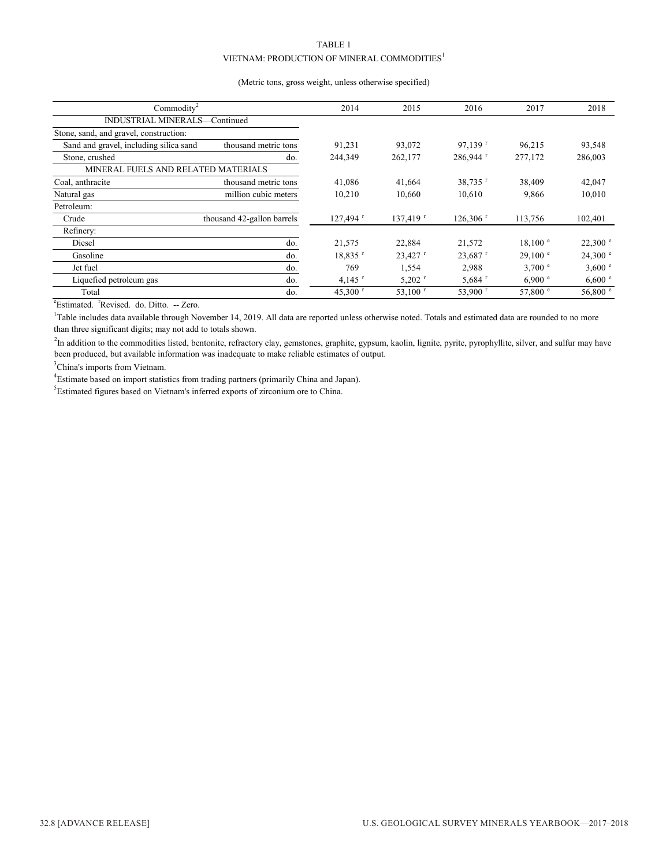# TABLE 1

#### VIETNAM: PRODUCTION OF MINERAL COMMODITIES $^{\rm l}$

#### (Metric tons, gross weight, unless otherwise specified)

| Commodity <sup>2</sup>                 |                            | 2014                  | 2015                   | 2016                   | 2017              | 2018               |
|----------------------------------------|----------------------------|-----------------------|------------------------|------------------------|-------------------|--------------------|
| INDUSTRIAL MINERALS-Continued          |                            |                       |                        |                        |                   |                    |
| Stone, sand, and gravel, construction: |                            |                       |                        |                        |                   |                    |
| Sand and gravel, including silica sand | thousand metric tons       | 91,231                | 93,072                 | $97.139$ <sup>r</sup>  | 96,215            | 93,548             |
| Stone, crushed                         | do.                        | 244,349               | 262,177                | $286,944$ <sup>r</sup> | 277,172           | 286,003            |
| MINERAL FUELS AND RELATED MATERIALS    |                            |                       |                        |                        |                   |                    |
| Coal, anthracite                       | thousand metric tons       | 41,086                | 41,664                 | $38,735$ <sup>r</sup>  | 38,409            | 42,047             |
| Natural gas                            | million cubic meters       | 10,210                | 10,660                 | 10,610                 | 9,866             | 10,010             |
| Petroleum:                             |                            |                       |                        |                        |                   |                    |
| Crude                                  | thousand 42-gallon barrels | 127,494 r             | $137,419$ <sup>r</sup> | $126,306$ <sup>r</sup> | 113,756           | 102,401            |
| Refinery:                              |                            |                       |                        |                        |                   |                    |
| Diesel                                 | do.                        | 21,575                | 22,884                 | 21,572                 | $18.100^{\circ}$  | $22,300$ $\degree$ |
| Gasoline                               | do.                        | $18,835$ <sup>r</sup> | 23,427                 | $23,687$ <sup>r</sup>  | 29.100 e          | $24,300$ $\degree$ |
| Jet fuel                               | do.                        | 769                   | 1,554                  | 2,988                  | 3.700 e           | 3,600 °            |
| Liquefied petroleum gas                | do.                        | $4,145$ <sup>r</sup>  | $5,202$ <sup>1</sup>   | $5,684$ <sup>r</sup>   | 6,900 °           | 6,600 °            |
| Total                                  | do.                        | 45,300 $^{\rm r}$     | $53,100$ <sup>r</sup>  | 53,900 $^{\rm r}$      | 57,800 $^{\circ}$ | 56,800 $^{\circ}$  |

<sup>e</sup>Estimated. <sup>r</sup>Revised. do. Ditto. -- Zero.

<sup>1</sup>Table includes data available through November 14, 2019. All data are reported unless otherwise noted. Totals and estimated data are rounded to no more than three significant digits; may not add to totals shown.

<sup>2</sup>In addition to the commodities listed, bentonite, refractory clay, gemstones, graphite, gypsum, kaolin, lignite, pyrite, pyrophyllite, silver, and sulfur may have been produced, but available information was inadequate to make reliable estimates of output.

<sup>3</sup>China's imports from Vietnam.

<sup>4</sup>Estimate based on import statistics from trading partners (primarily China and Japan).

<sup>5</sup>Estimated figures based on Vietnam's inferred exports of zirconium ore to China.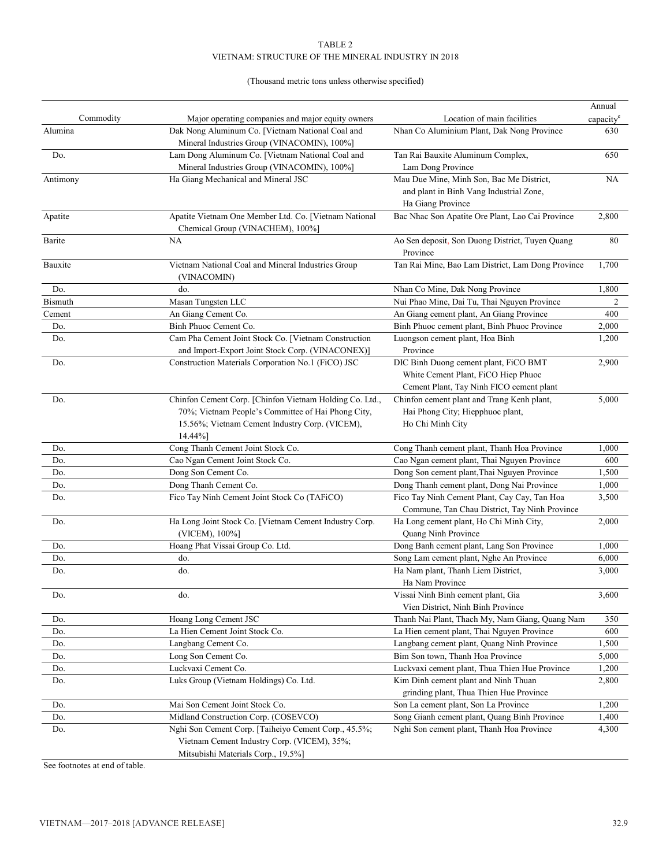## (Thousand metric tons unless otherwise specified)

|                |                                                                                                 |                                                                                           | Annual                |
|----------------|-------------------------------------------------------------------------------------------------|-------------------------------------------------------------------------------------------|-----------------------|
| Commodity      | Major operating companies and major equity owners                                               | Location of main facilities                                                               | capacity <sup>e</sup> |
| Alumina        | Dak Nong Aluminum Co. [Vietnam National Coal and<br>Mineral Industries Group (VINACOMIN), 100%] | Nhan Co Aluminium Plant, Dak Nong Province                                                | 630                   |
| Do.            | Lam Dong Aluminum Co. [Vietnam National Coal and                                                | Tan Rai Bauxite Aluminum Complex,                                                         | 650                   |
|                | Mineral Industries Group (VINACOMIN), 100%]                                                     | Lam Dong Province                                                                         |                       |
| Antimony       | Ha Giang Mechanical and Mineral JSC                                                             | Mau Due Mine, Minh Son, Bac Me District,                                                  | NA                    |
|                |                                                                                                 | and plant in Binh Vang Industrial Zone,                                                   |                       |
|                |                                                                                                 | Ha Giang Province                                                                         |                       |
| Apatite        | Apatite Vietnam One Member Ltd. Co. [Vietnam National<br>Chemical Group (VINACHEM), 100%]       | Bac Nhac Son Apatite Ore Plant, Lao Cai Province                                          | 2,800                 |
| Barite         | <b>NA</b>                                                                                       | Ao Sen deposit, Son Duong District, Tuyen Quang<br>Province                               | 80                    |
| Bauxite        | Vietnam National Coal and Mineral Industries Group<br>(VINACOMIN)                               | Tan Rai Mine, Bao Lam District, Lam Dong Province                                         | 1,700                 |
| Do.            | do.                                                                                             | Nhan Co Mine, Dak Nong Province                                                           | 1,800                 |
| <b>Bismuth</b> | Masan Tungsten LLC                                                                              | Nui Phao Mine, Dai Tu, Thai Nguyen Province                                               | 2                     |
| Cement         | An Giang Cement Co.                                                                             | An Giang cement plant, An Giang Province                                                  | 400                   |
| Do.            | Binh Phuoc Cement Co.                                                                           | Binh Phuoc cement plant, Binh Phuoc Province                                              | 2,000                 |
| Do.            | Cam Pha Cement Joint Stock Co. [Vietnam Construction                                            | Luongson cement plant, Hoa Binh                                                           | 1,200                 |
|                | and Import-Export Joint Stock Corp. (VINACONEX)]                                                | Province                                                                                  |                       |
| Do.            | Construction Materials Corporation No.1 (FiCO) JSC                                              | DIC Binh Duong cement plant, FiCO BMT                                                     | 2,900                 |
|                |                                                                                                 | White Cement Plant, FiCO Hiep Phuoc                                                       |                       |
|                |                                                                                                 | Cement Plant, Tay Ninh FICO cement plant                                                  |                       |
| Do.            | Chinfon Cement Corp. [Chinfon Vietnam Holding Co. Ltd.,                                         | Chinfon cement plant and Trang Kenh plant,                                                | 5,000                 |
|                | 70%; Vietnam People's Committee of Hai Phong City,                                              | Hai Phong City; Hiepphuoc plant,                                                          |                       |
|                | 15.56%; Vietnam Cement Industry Corp. (VICEM),                                                  | Ho Chi Minh City                                                                          |                       |
|                | 14.44%]                                                                                         |                                                                                           |                       |
| Do.            | Cong Thanh Cement Joint Stock Co.                                                               | Cong Thanh cement plant, Thanh Hoa Province                                               | 1,000                 |
| Do.            | Cao Ngan Cement Joint Stock Co.                                                                 | Cao Ngan cement plant, Thai Nguyen Province                                               | 600                   |
| Do.            | Dong Son Cement Co.                                                                             | Dong Son cement plant, Thai Nguyen Province                                               | 1,500                 |
| Do.            | Dong Thanh Cement Co.                                                                           | Dong Thanh cement plant, Dong Nai Province                                                | 1,000                 |
| Do.            | Fico Tay Ninh Cement Joint Stock Co (TAFiCO)                                                    | Fico Tay Ninh Cement Plant, Cay Cay, Tan Hoa                                              | 3,500                 |
|                |                                                                                                 | Commune, Tan Chau District, Tay Ninh Province                                             |                       |
| Do.            | Ha Long Joint Stock Co. [Vietnam Cement Industry Corp.                                          | Ha Long cement plant, Ho Chi Minh City,                                                   | 2,000                 |
|                | (VICEM), 100%]                                                                                  | Quang Ninh Province                                                                       |                       |
| Do.            | Hoang Phat Vissai Group Co. Ltd.                                                                | Dong Banh cement plant, Lang Son Province                                                 | 1,000                 |
| Do.            | do.                                                                                             | Song Lam cement plant, Nghe An Province                                                   | 6,000                 |
| Do.            | do.                                                                                             | Ha Nam plant, Thanh Liem District,                                                        | 3,000                 |
|                |                                                                                                 | Ha Nam Province                                                                           |                       |
| Do.            | do.                                                                                             | Vissai Ninh Binh cement plant, Gia                                                        | 3,600                 |
|                |                                                                                                 | Vien District, Ninh Binh Province                                                         |                       |
| Do.            | Hoang Long Cement JSC                                                                           | Thanh Nai Plant, Thach My, Nam Giang, Quang Nam                                           | 350                   |
| Do.            | La Hien Cement Joint Stock Co.                                                                  | La Hien cement plant, Thai Nguyen Province                                                | 600                   |
| Do.            | Langbang Cement Co.                                                                             | Langbang cement plant, Quang Ninh Province                                                | 1,500                 |
| Do.            | Long Son Cement Co.                                                                             | Bim Son town, Thanh Hoa Province                                                          | 5,000                 |
| Do.            | Luckvaxi Cement Co.                                                                             | Luckvaxi cement plant, Thua Thien Hue Province                                            | 1,200                 |
| Do.            | Luks Group (Vietnam Holdings) Co. Ltd.                                                          | Kim Dinh cement plant and Ninh Thuan                                                      | 2,800                 |
|                |                                                                                                 | grinding plant, Thua Thien Hue Province                                                   |                       |
| Do.            | Mai Son Cement Joint Stock Co.<br>Midland Construction Corp. (COSEVCO)                          | Son La cement plant, Son La Province                                                      | 1,200<br>1,400        |
| Do.<br>Do.     | Nghi Son Cement Corp. [Taiheiyo Cement Corp., 45.5%;                                            | Song Gianh cement plant, Quang Binh Province<br>Nghi Son cement plant, Thanh Hoa Province | 4,300                 |
|                | Vietnam Cement Industry Corp. (VICEM), 35%;                                                     |                                                                                           |                       |
|                | Mitsubishi Materials Corp., 19.5%]                                                              |                                                                                           |                       |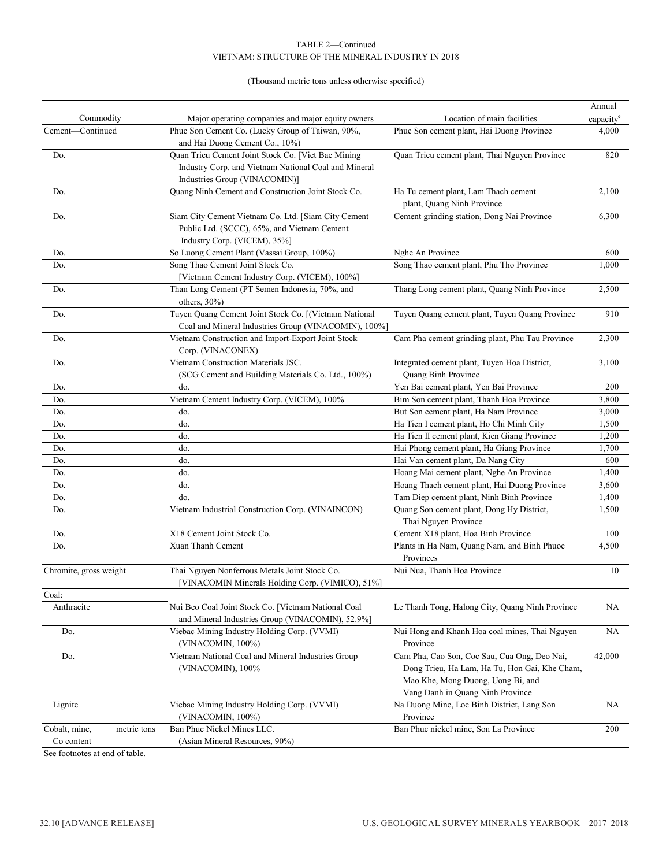#### (Thousand metric tons unless otherwise specified)

|                                |                                                                                                                                             |                                                                                                                                                                        | Annual                |
|--------------------------------|---------------------------------------------------------------------------------------------------------------------------------------------|------------------------------------------------------------------------------------------------------------------------------------------------------------------------|-----------------------|
| Commodity                      | Major operating companies and major equity owners                                                                                           | Location of main facilities                                                                                                                                            | capacity <sup>e</sup> |
| Cement-Continued               | Phuc Son Cement Co. (Lucky Group of Taiwan, 90%,<br>and Hai Duong Cement Co., 10%)                                                          | Phuc Son cement plant, Hai Duong Province                                                                                                                              | 4,000                 |
| Do.                            | Quan Trieu Cement Joint Stock Co. [Viet Bac Mining<br>Industry Corp. and Vietnam National Coal and Mineral<br>Industries Group (VINACOMIN)] | Quan Trieu cement plant, Thai Nguyen Province                                                                                                                          | 820                   |
| Do.                            | Quang Ninh Cement and Construction Joint Stock Co.                                                                                          | Ha Tu cement plant, Lam Thach cement<br>plant, Quang Ninh Province                                                                                                     | 2,100                 |
| Do.                            | Siam City Cement Vietnam Co. Ltd. [Siam City Cement<br>Public Ltd. (SCCC), 65%, and Vietnam Cement<br>Industry Corp. (VICEM), 35%]          | Cement grinding station, Dong Nai Province                                                                                                                             | 6,300                 |
| Do.                            | So Luong Cement Plant (Vassai Group, 100%)                                                                                                  | Nghe An Province                                                                                                                                                       | 600                   |
| Do.                            | Song Thao Cement Joint Stock Co.                                                                                                            | Song Thao cement plant, Phu Tho Province                                                                                                                               | 1,000                 |
|                                | [Vietnam Cement Industry Corp. (VICEM), 100%]                                                                                               |                                                                                                                                                                        |                       |
| Do.                            | Than Long Cement (PT Semen Indonesia, 70%, and<br>others, 30%)                                                                              | Thang Long cement plant, Quang Ninh Province                                                                                                                           | 2,500                 |
| Do.                            | Tuyen Quang Cement Joint Stock Co. [(Vietnam National<br>Coal and Mineral Industries Group (VINACOMIN), 100%]                               | Tuyen Quang cement plant, Tuyen Quang Province                                                                                                                         | 910                   |
| Do.                            | Vietnam Construction and Import-Export Joint Stock<br>Corp. (VINACONEX)                                                                     | Cam Pha cement grinding plant, Phu Tau Province                                                                                                                        | 2,300                 |
| Do.                            | Vietnam Construction Materials JSC.<br>(SCG Cement and Building Materials Co. Ltd., 100%)                                                   | Integrated cement plant, Tuyen Hoa District,<br>Quang Binh Province                                                                                                    | 3,100                 |
| Do.                            | do.                                                                                                                                         | Yen Bai cement plant, Yen Bai Province                                                                                                                                 | 200                   |
| Do.                            | Vietnam Cement Industry Corp. (VICEM), 100%                                                                                                 | Bim Son cement plant, Thanh Hoa Province                                                                                                                               | 3,800                 |
| Do.                            | do.                                                                                                                                         | But Son cement plant, Ha Nam Province                                                                                                                                  | 3,000                 |
| Do.                            | do.                                                                                                                                         | Ha Tien I cement plant, Ho Chi Minh City                                                                                                                               | 1,500                 |
| Do.                            | do.                                                                                                                                         | Ha Tien II cement plant, Kien Giang Province                                                                                                                           | 1,200                 |
| Do.                            | do.                                                                                                                                         | Hai Phong cement plant, Ha Giang Province                                                                                                                              | 1,700                 |
| Do.                            | do.                                                                                                                                         | Hai Van cement plant, Da Nang City                                                                                                                                     | 600                   |
| Do.                            | do.                                                                                                                                         | Hoang Mai cement plant, Nghe An Province                                                                                                                               | 1,400                 |
| Do.                            | do.                                                                                                                                         | Hoang Thach cement plant, Hai Duong Province                                                                                                                           | 3,600                 |
| Do.                            | do.                                                                                                                                         | Tam Diep cement plant, Ninh Binh Province                                                                                                                              | 1,400                 |
| Do.                            | Vietnam Industrial Construction Corp. (VINAINCON)                                                                                           | Quang Son cement plant, Dong Hy District,<br>Thai Nguyen Province                                                                                                      | 1,500                 |
| Do.                            | X18 Cement Joint Stock Co.                                                                                                                  | Cement X18 plant, Hoa Binh Province                                                                                                                                    | 100                   |
| Do.                            | Xuan Thanh Cement                                                                                                                           | Plants in Ha Nam, Quang Nam, and Binh Phuoc<br>Provinces                                                                                                               | 4,500                 |
| Chromite, gross weight         | Thai Nguyen Nonferrous Metals Joint Stock Co.<br>[VINACOMIN Minerals Holding Corp. (VIMICO), 51%]                                           | Nui Nua, Thanh Hoa Province                                                                                                                                            | 10                    |
| Coal:                          |                                                                                                                                             |                                                                                                                                                                        |                       |
| Anthracite                     | Nui Beo Coal Joint Stock Co. [Vietnam National Coal<br>and Mineral Industries Group (VINACOMIN), 52.9%]                                     | Le Thanh Tong, Halong City, Quang Ninh Province                                                                                                                        | NA                    |
| Do.                            | Viebac Mining Industry Holding Corp. (VVMI)<br>(VINACOMIN, 100%)                                                                            | Nui Hong and Khanh Hoa coal mines, Thai Nguyen<br>Province                                                                                                             | NA                    |
| Do.                            | Vietnam National Coal and Mineral Industries Group<br>(VINACOMIN), 100%                                                                     | Cam Pha, Cao Son, Coc Sau, Cua Ong, Deo Nai,<br>Dong Trieu, Ha Lam, Ha Tu, Hon Gai, Khe Cham,<br>Mao Khe, Mong Duong, Uong Bi, and<br>Vang Danh in Quang Ninh Province | 42,000                |
| Lignite                        | Viebac Mining Industry Holding Corp. (VVMI)<br>(VINACOMIN, 100%)                                                                            | Na Duong Mine, Loc Binh District, Lang Son<br>Province                                                                                                                 | NA                    |
| Cobalt, mine,<br>metric tons   | Ban Phuc Nickel Mines LLC.                                                                                                                  | Ban Phuc nickel mine, Son La Province                                                                                                                                  | 200                   |
| Co content                     | (Asian Mineral Resources, 90%)                                                                                                              |                                                                                                                                                                        |                       |
| See footnotes at end of table. |                                                                                                                                             |                                                                                                                                                                        |                       |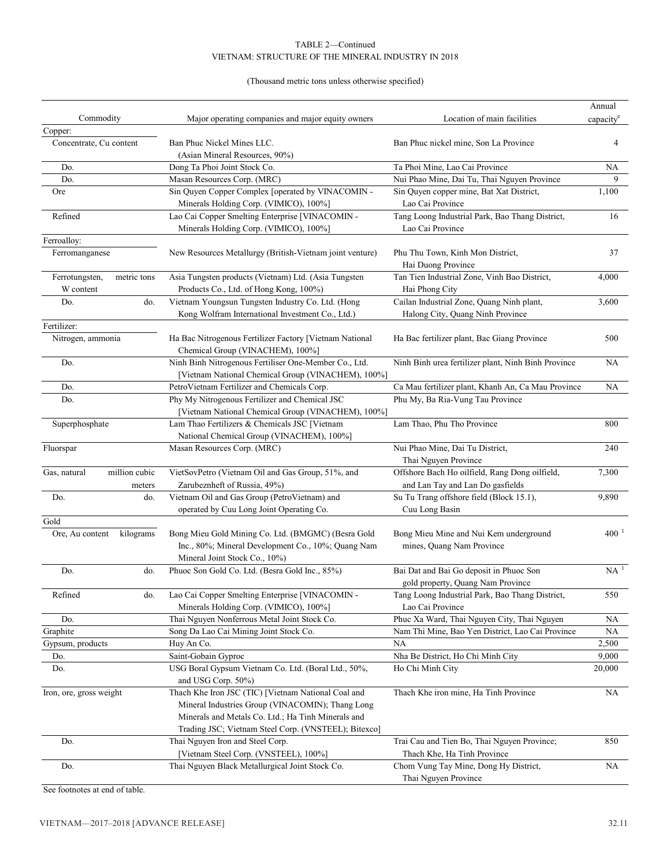#### (Thousand metric tons unless otherwise specified)

|                               |                                                          |                                                     | Annual                |
|-------------------------------|----------------------------------------------------------|-----------------------------------------------------|-----------------------|
| Commodity                     | Major operating companies and major equity owners        | Location of main facilities                         | capacity <sup>e</sup> |
| Copper:                       |                                                          |                                                     |                       |
| Concentrate, Cu content       | Ban Phuc Nickel Mines LLC.                               | Ban Phuc nickel mine, Son La Province               | 4                     |
|                               | (Asian Mineral Resources, 90%)                           |                                                     |                       |
| Do.                           | Dong Ta Phoi Joint Stock Co.                             | Ta Phoi Mine, Lao Cai Province                      | NA                    |
| Do.                           | Masan Resources Corp. (MRC)                              | Nui Phao Mine, Dai Tu, Thai Nguyen Province         | 9                     |
| Ore                           | Sin Quyen Copper Complex [operated by VINACOMIN -        | Sin Quyen copper mine, Bat Xat District,            | 1,100                 |
|                               | Minerals Holding Corp. (VIMICO), 100%]                   | Lao Cai Province                                    |                       |
| Refined                       | Lao Cai Copper Smelting Enterprise [VINACOMIN -          | Tang Loong Industrial Park, Bao Thang District,     | 16                    |
| Ferroalloy:                   | Minerals Holding Corp. (VIMICO), 100%]                   | Lao Cai Province                                    |                       |
| Ferromanganese                | New Resources Metallurgy (British-Vietnam joint venture) | Phu Thu Town, Kinh Mon District,                    | 37                    |
|                               |                                                          | Hai Duong Province                                  |                       |
| metric tons                   | Asia Tungsten products (Vietnam) Ltd. (Asia Tungsten     | Tan Tien Industrial Zone, Vinh Bao District,        | 4,000                 |
| Ferrotungsten,<br>W content   | Products Co., Ltd. of Hong Kong, 100%)                   | Hai Phong City                                      |                       |
| Do.<br>do.                    | Vietnam Youngsun Tungsten Industry Co. Ltd. (Hong        | Cailan Industrial Zone, Quang Ninh plant,           | 3,600                 |
|                               |                                                          |                                                     |                       |
| Fertilizer:                   | Kong Wolfram International Investment Co., Ltd.)         | Halong City, Quang Ninh Province                    |                       |
| Nitrogen, ammonia             | Ha Bac Nitrogenous Fertilizer Factory [Vietnam National  | Ha Bac fertilizer plant, Bac Giang Province         | 500                   |
|                               | Chemical Group (VINACHEM), 100%]                         |                                                     |                       |
| Do.                           | Ninh Binh Nitrogenous Fertiliser One-Member Co., Ltd.    | Ninh Binh urea fertilizer plant, Ninh Binh Province | <b>NA</b>             |
|                               | [Vietnam National Chemical Group (VINACHEM), 100%]       |                                                     |                       |
| Do.                           | PetroVietnam Fertilizer and Chemicals Corp.              | Ca Mau fertilizer plant, Khanh An, Ca Mau Province  | NA                    |
| Do.                           | Phy My Nitrogenous Fertilizer and Chemical JSC           | Phu My, Ba Ria-Vung Tau Province                    |                       |
|                               | [Vietnam National Chemical Group (VINACHEM), 100%]       |                                                     |                       |
| Superphosphate                | Lam Thao Fertilizers & Chemicals JSC [Vietnam            | Lam Thao, Phu Tho Province                          | 800                   |
|                               | National Chemical Group (VINACHEM), 100%]                |                                                     |                       |
| Fluorspar                     | Masan Resources Corp. (MRC)                              | Nui Phao Mine, Dai Tu District,                     | 240                   |
|                               |                                                          | Thai Nguyen Province                                |                       |
| million cubic<br>Gas, natural | VietSovPetro (Vietnam Oil and Gas Group, 51%, and        | Offshore Bach Ho oilfield, Rang Dong oilfield,      | 7,300                 |
| meters                        | Zarubeznheft of Russia, 49%)                             | and Lan Tay and Lan Do gasfields                    |                       |
| Do.<br>do.                    | Vietnam Oil and Gas Group (PetroVietnam) and             | Su Tu Trang offshore field (Block 15.1),            | 9,890                 |
|                               | operated by Cuu Long Joint Operating Co.                 | Cuu Long Basin                                      |                       |
| Gold                          |                                                          |                                                     |                       |
| kilograms<br>Ore, Au content  | Bong Mieu Gold Mining Co. Ltd. (BMGMC) (Besra Gold       | Bong Mieu Mine and Nui Kem underground              | $400^{-1}$            |
|                               | Inc., 80%; Mineral Development Co., 10%; Quang Nam       | mines, Quang Nam Province                           |                       |
|                               | Mineral Joint Stock Co., 10%)                            |                                                     |                       |
| Do.<br>do.                    | Phuoc Son Gold Co. Ltd. (Besra Gold Inc., 85%)           | Bai Dat and Bai Go deposit in Phuoc Son             | NA <sup>1</sup>       |
|                               |                                                          | gold property, Quang Nam Province                   |                       |
| Refined<br>do.                | Lao Cai Copper Smelting Enterprise [VINACOMIN -          | Tang Loong Industrial Park, Bao Thang District,     | 550                   |
|                               | Minerals Holding Corp. (VIMICO), 100%]                   | Lao Cai Province                                    |                       |
| Do.                           | Thai Nguyen Nonferrous Metal Joint Stock Co.             | Phuc Xa Ward, Thai Nguyen City, Thai Nguyen         | NА                    |
| Graphite                      | Song Da Lao Cai Mining Joint Stock Co.                   | Nam Thi Mine, Bao Yen District, Lao Cai Province    | NA                    |
| Gypsum, products              | Huy An Co.                                               | NA                                                  | 2,500                 |
| Do.                           | Saint-Gobain Gyproc                                      | Nha Be District, Ho Chi Minh City                   | 9,000                 |
| Do.                           | USG Boral Gypsum Vietnam Co. Ltd. (Boral Ltd., 50%,      | Ho Chi Minh City                                    | 20,000                |
|                               | and USG Corp. 50%)                                       |                                                     |                       |
| Iron, ore, gross weight       | Thach Khe Iron JSC (TIC) [Vietnam National Coal and      | Thach Khe iron mine, Ha Tinh Province               | NA                    |
|                               | Mineral Industries Group (VINACOMIN); Thang Long         |                                                     |                       |
|                               | Minerals and Metals Co. Ltd.; Ha Tinh Minerals and       |                                                     |                       |
|                               | Trading JSC; Vietnam Steel Corp. (VNSTEEL); Bitexco]     |                                                     |                       |
| Do.                           | Thai Nguyen Iron and Steel Corp.                         | Trai Cau and Tien Bo, Thai Nguyen Province;         | 850                   |
|                               | [Vietnam Steel Corp. (VNSTEEL), 100%]                    | Thach Khe, Ha Tinh Province                         |                       |
| Do.                           | Thai Nguyen Black Metallurgical Joint Stock Co.          | Chom Vung Tay Mine, Dong Hy District,               | NA                    |
|                               |                                                          | Thai Nguyen Province                                |                       |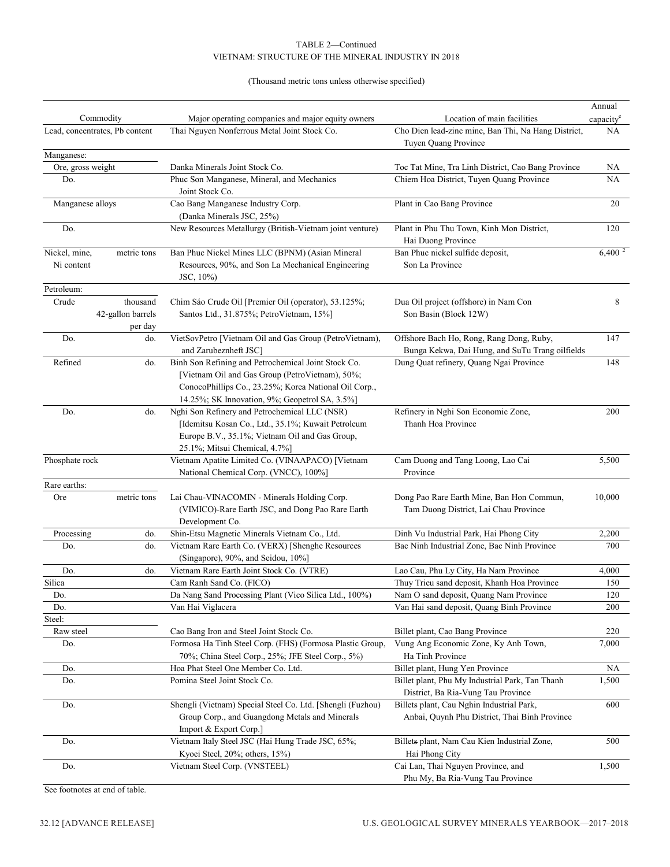#### (Thousand metric tons unless otherwise specified)

|                                 | Commodity                                | Major operating companies and major equity owners                                                                                                                                                                 | Location of main facilities                                                                 | Annual<br>capacity <sup>e</sup> |
|---------------------------------|------------------------------------------|-------------------------------------------------------------------------------------------------------------------------------------------------------------------------------------------------------------------|---------------------------------------------------------------------------------------------|---------------------------------|
|                                 | Lead, concentrates, Pb content           | Thai Nguyen Nonferrous Metal Joint Stock Co.                                                                                                                                                                      | Cho Dien lead-zinc mine, Ban Thi, Na Hang District,<br>Tuyen Quang Province                 | NA                              |
| Manganese:<br>Ore, gross weight |                                          | Danka Minerals Joint Stock Co.                                                                                                                                                                                    | Toc Tat Mine, Tra Linh District, Cao Bang Province                                          | NА                              |
| Do.                             |                                          | Phuc Son Manganese, Mineral, and Mechanics<br>Joint Stock Co.                                                                                                                                                     | Chiem Hoa District, Tuyen Quang Province                                                    | NA                              |
| Manganese alloys                |                                          | Cao Bang Manganese Industry Corp.<br>(Danka Minerals JSC, 25%)                                                                                                                                                    | Plant in Cao Bang Province                                                                  | 20                              |
| Do.                             |                                          | New Resources Metallurgy (British-Vietnam joint venture)                                                                                                                                                          | Plant in Phu Thu Town, Kinh Mon District,<br>Hai Duong Province                             | 120                             |
| Nickel, mine,<br>Ni content     | metric tons                              | Ban Phuc Nickel Mines LLC (BPNM) (Asian Mineral<br>Resources, 90%, and Son La Mechanical Engineering<br>JSC, 10%)                                                                                                 | Ban Phuc nickel sulfide deposit,<br>Son La Province                                         | 6,400 <sup>2</sup>              |
| Petroleum:                      |                                          |                                                                                                                                                                                                                   |                                                                                             |                                 |
| Crude                           | thousand<br>42-gallon barrels<br>per day | Chim Sáo Crude Oil [Premier Oil (operator), 53.125%;<br>Santos Ltd., 31.875%; PetroVietnam, 15%]                                                                                                                  | Dua Oil project (offshore) in Nam Con<br>Son Basin (Block 12W)                              | 8                               |
| Do.                             | do.                                      | VietSovPetro [Vietnam Oil and Gas Group (PetroVietnam),<br>and Zarubeznheft JSC]                                                                                                                                  | Offshore Bach Ho, Rong, Rang Dong, Ruby,<br>Bunga Kekwa, Dai Hung, and SuTu Trang oilfields | 147                             |
| Refined                         | do.                                      | Binh Son Refining and Petrochemical Joint Stock Co.<br>[Vietnam Oil and Gas Group (PetroVietnam), 50%;<br>ConocoPhillips Co., 23.25%; Korea National Oil Corp.,<br>14.25%; SK Innovation, 9%; Geopetrol SA, 3.5%] | Dung Quat refinery, Quang Ngai Province                                                     | 148                             |
| Do.                             | do.                                      | Nghi Son Refinery and Petrochemical LLC (NSR)<br>[Idemitsu Kosan Co., Ltd., 35.1%; Kuwait Petroleum<br>Europe B.V., 35.1%; Vietnam Oil and Gas Group,<br>25.1%; Mitsui Chemical, 4.7%]                            | Refinery in Nghi Son Economic Zone,<br>Thanh Hoa Province                                   | 200                             |
| Phosphate rock                  |                                          | Vietnam Apatite Limited Co. (VINAAPACO) [Vietnam<br>National Chemical Corp. (VNCC), 100%]                                                                                                                         | Cam Duong and Tang Loong, Lao Cai<br>Province                                               | 5,500                           |
| Rare earths:                    |                                          |                                                                                                                                                                                                                   |                                                                                             |                                 |
| Ore                             | metric tons                              | Lai Chau-VINACOMIN - Minerals Holding Corp.<br>(VIMICO)-Rare Earth JSC, and Dong Pao Rare Earth<br>Development Co.                                                                                                | Dong Pao Rare Earth Mine, Ban Hon Commun,<br>Tam Duong District, Lai Chau Province          | 10,000                          |
| Processing                      | do.                                      | Shin-Etsu Magnetic Minerals Vietnam Co., Ltd.                                                                                                                                                                     | Dinh Vu Industrial Park, Hai Phong City                                                     | 2,200                           |
| Do.                             | do.                                      | Vietnam Rare Earth Co. (VERX) [Shenghe Resources<br>(Singapore), 90%, and Seidou, 10%]                                                                                                                            | Bac Ninh Industrial Zone, Bac Ninh Province                                                 | 700                             |
| Do.                             | do.                                      | Vietnam Rare Earth Joint Stock Co. (VTRE)                                                                                                                                                                         | Lao Cau, Phu Ly City, Ha Nam Province                                                       | 4,000                           |
| Silica                          |                                          | Cam Ranh Sand Co. (FICO)                                                                                                                                                                                          | Thuy Trieu sand deposit, Khanh Hoa Province                                                 | 150                             |
| Do.                             |                                          | Da Nang Sand Processing Plant (Vico Silica Ltd., 100%)                                                                                                                                                            | Nam O sand deposit, Quang Nam Province                                                      | 120                             |
| Do.                             |                                          | Van Hai Viglacera                                                                                                                                                                                                 | Van Hai sand deposit, Quang Binh Province                                                   | 200                             |
| Steel:                          |                                          |                                                                                                                                                                                                                   |                                                                                             |                                 |
| Raw steel                       |                                          | Cao Bang Iron and Steel Joint Stock Co.                                                                                                                                                                           | Billet plant, Cao Bang Province                                                             | 220                             |
| Do.                             |                                          | Formosa Ha Tinh Steel Corp. (FHS) (Formosa Plastic Group,<br>70%; China Steel Corp., 25%; JFE Steel Corp., 5%)                                                                                                    | Vung Ang Economic Zone, Ky Anh Town,<br>Ha Tinh Province                                    | 7,000                           |
| Do.                             |                                          | Hoa Phat Steel One Member Co. Ltd.                                                                                                                                                                                | Billet plant, Hung Yen Province                                                             | NA                              |
| Do.                             |                                          | Pomina Steel Joint Stock Co.                                                                                                                                                                                      | Billet plant, Phu My Industrial Park, Tan Thanh<br>District, Ba Ria-Vung Tau Province       | 1,500                           |
| Do.                             |                                          | Shengli (Vietnam) Special Steel Co. Ltd. [Shengli (Fuzhou)<br>Group Corp., and Guangdong Metals and Minerals<br>Import & Export Corp.]                                                                            | Billets plant, Cau Nghin Industrial Park,<br>Anbai, Quynh Phu District, Thai Binh Province  | 600                             |
| Do.                             |                                          | Vietnam Italy Steel JSC (Hai Hung Trade JSC, 65%;<br>Kyoei Steel, 20%; others, 15%)                                                                                                                               | Billets plant, Nam Cau Kien Industrial Zone,<br>Hai Phong City                              | 500                             |
| Do.                             |                                          | Vietnam Steel Corp. (VNSTEEL)                                                                                                                                                                                     | Cai Lan, Thai Nguyen Province, and<br>Phu My, Ba Ria-Vung Tau Province                      | 1,500                           |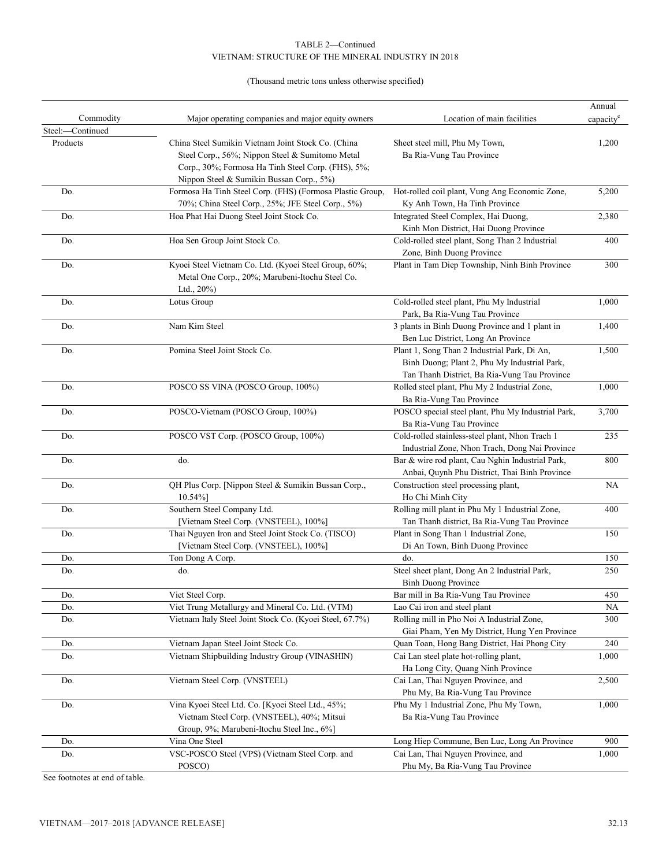## (Thousand metric tons unless otherwise specified)

|                  |                                                           |                                                    | Annual    |
|------------------|-----------------------------------------------------------|----------------------------------------------------|-----------|
| Commodity        | Major operating companies and major equity owners         | Location of main facilities                        | capacity  |
| Steel:-Continued |                                                           |                                                    |           |
| Products         | China Steel Sumikin Vietnam Joint Stock Co. (China        | Sheet steel mill, Phu My Town,                     | 1,200     |
|                  | Steel Corp., 56%; Nippon Steel & Sumitomo Metal           | Ba Ria-Vung Tau Province                           |           |
|                  | Corp., 30%; Formosa Ha Tinh Steel Corp. (FHS), 5%;        |                                                    |           |
|                  | Nippon Steel & Sumikin Bussan Corp., 5%)                  |                                                    |           |
| Do.              | Formosa Ha Tinh Steel Corp. (FHS) (Formosa Plastic Group, | Hot-rolled coil plant, Vung Ang Economic Zone,     | 5,200     |
|                  | 70%; China Steel Corp., 25%; JFE Steel Corp., 5%)         | Ky Anh Town, Ha Tinh Province                      |           |
| Do.              | Hoa Phat Hai Duong Steel Joint Stock Co.                  | Integrated Steel Complex, Hai Duong,               | 2,380     |
|                  |                                                           | Kinh Mon District, Hai Duong Province              |           |
| Do.              | Hoa Sen Group Joint Stock Co.                             | Cold-rolled steel plant, Song Than 2 Industrial    | 400       |
|                  |                                                           | Zone, Binh Duong Province                          |           |
| Do.              | Kyoei Steel Vietnam Co. Ltd. (Kyoei Steel Group, 60%;     | Plant in Tam Diep Township, Ninh Binh Province     | 300       |
|                  | Metal One Corp., 20%; Marubeni-Itochu Steel Co.           |                                                    |           |
|                  | Ltd., 20%)                                                |                                                    |           |
| Do.              | Lotus Group                                               | Cold-rolled steel plant, Phu My Industrial         | 1,000     |
|                  |                                                           | Park, Ba Ria-Vung Tau Province                     |           |
| Do.              | Nam Kim Steel                                             | 3 plants in Binh Duong Province and 1 plant in     | 1,400     |
|                  |                                                           | Ben Luc District, Long An Province                 |           |
| Do.              | Pomina Steel Joint Stock Co.                              | Plant 1, Song Than 2 Industrial Park, Di An,       | 1,500     |
|                  |                                                           | Binh Duong; Plant 2, Phu My Industrial Park,       |           |
|                  |                                                           | Tan Thanh District, Ba Ria-Vung Tau Province       |           |
| Do.              | POSCO SS VINA (POSCO Group, 100%)                         | Rolled steel plant, Phu My 2 Industrial Zone,      | 1,000     |
|                  |                                                           | Ba Ria-Vung Tau Province                           |           |
| Do.              | POSCO-Vietnam (POSCO Group, 100%)                         | POSCO special steel plant, Phu My Industrial Park, | 3,700     |
|                  |                                                           | Ba Ria-Vung Tau Province                           |           |
| Do.              | POSCO VST Corp. (POSCO Group, 100%)                       | Cold-rolled stainless-steel plant, Nhon Trach 1    | 235       |
|                  |                                                           | Industrial Zone, Nhon Trach, Dong Nai Province     |           |
| Do.              | do.                                                       | Bar & wire rod plant, Cau Nghin Industrial Park,   | 800       |
|                  |                                                           | Anbai, Quynh Phu District, Thai Binh Province      |           |
| Do.              | QH Plus Corp. [Nippon Steel & Sumikin Bussan Corp.,       | Construction steel processing plant,               | <b>NA</b> |
|                  | $10.54\%$ ]                                               | Ho Chi Minh City                                   |           |
| Do.              | Southern Steel Company Ltd.                               | Rolling mill plant in Phu My 1 Industrial Zone,    | 400       |
|                  | [Vietnam Steel Corp. (VNSTEEL), 100%]                     | Tan Thanh district, Ba Ria-Vung Tau Province       |           |
| Do.              | Thai Nguyen Iron and Steel Joint Stock Co. (TISCO)        | Plant in Song Than 1 Industrial Zone,              | 150       |
|                  | [Vietnam Steel Corp. (VNSTEEL), 100%]                     | Di An Town, Binh Duong Province                    |           |
| Do.              | Ton Dong A Corp.                                          | do.                                                | 150       |
| Do.              | do.                                                       | Steel sheet plant, Dong An 2 Industrial Park,      | 250       |
|                  |                                                           | <b>Binh Duong Province</b>                         |           |
| Do.              | Viet Steel Corp.                                          | Bar mill in Ba Ria-Vung Tau Province               | 450       |
| Do.              | Viet Trung Metallurgy and Mineral Co. Ltd. (VTM)          | Lao Cai iron and steel plant                       | NA.       |
| Do.              | Vietnam Italy Steel Joint Stock Co. (Kyoei Steel, 67.7%)  | Rolling mill in Pho Noi A Industrial Zone,         | 300       |
|                  |                                                           | Giai Pham, Yen My District, Hung Yen Province      |           |
| Do.              | Vietnam Japan Steel Joint Stock Co.                       | Quan Toan, Hong Bang District, Hai Phong City      | 240       |
| Do.              | Vietnam Shipbuilding Industry Group (VINASHIN)            | Cai Lan steel plate hot-rolling plant,             | 1,000     |
|                  |                                                           | Ha Long City, Quang Ninh Province                  |           |
| Do.              | Vietnam Steel Corp. (VNSTEEL)                             | Cai Lan, Thai Nguyen Province, and                 | 2,500     |
|                  |                                                           | Phu My, Ba Ria-Vung Tau Province                   |           |
| Do.              | Vina Kyoei Steel Ltd. Co. [Kyoei Steel Ltd., 45%;         | Phu My 1 Industrial Zone, Phu My Town,             | 1,000     |
|                  | Vietnam Steel Corp. (VNSTEEL), 40%; Mitsui                | Ba Ria-Vung Tau Province                           |           |
|                  | Group, 9%; Marubeni-Itochu Steel Inc., 6%]                |                                                    |           |
| Do.              | Vina One Steel                                            | Long Hiep Commune, Ben Luc, Long An Province       | 900       |
| Do.              | VSC-POSCO Steel (VPS) (Vietnam Steel Corp. and            | Cai Lan, Thai Nguyen Province, and                 | 1,000     |
|                  | POSCO)                                                    | Phu My, Ba Ria-Vung Tau Province                   |           |